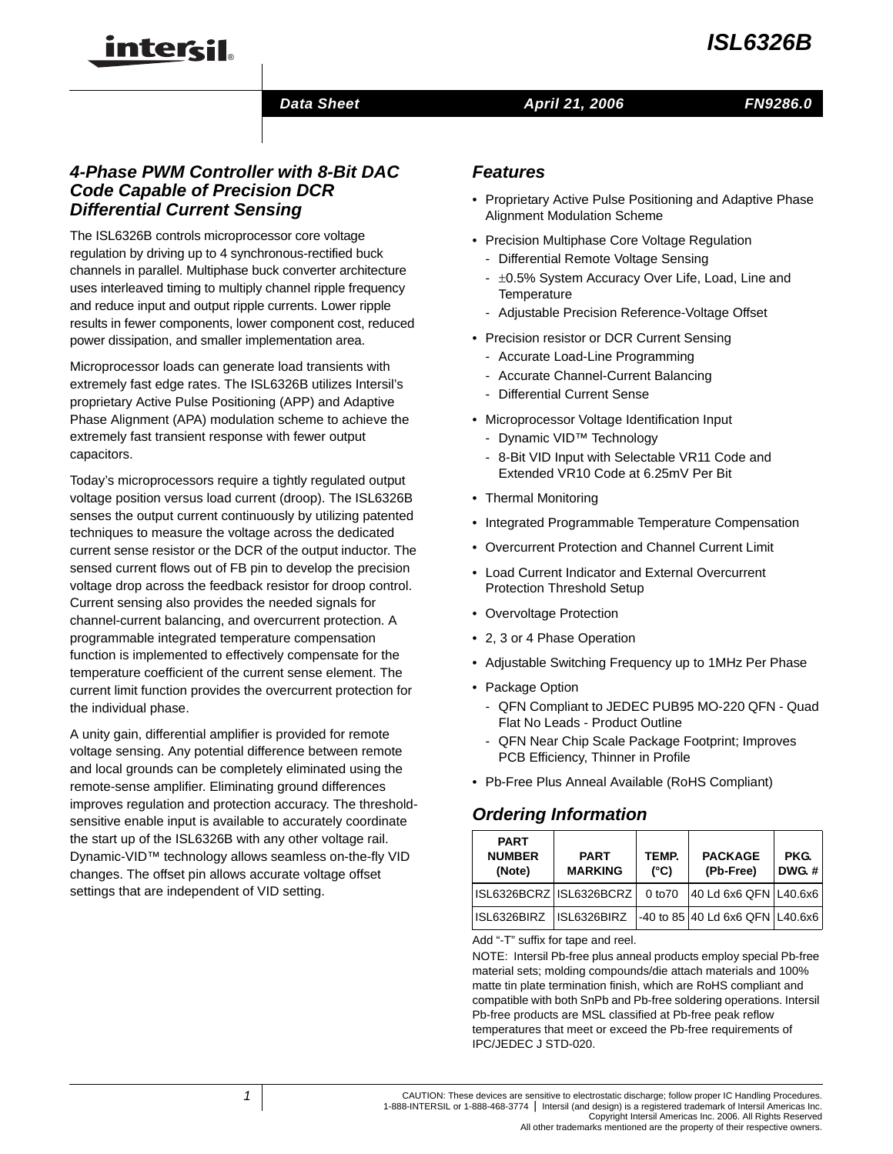# *ISL6326B*



## **Data Sheet April 21, 2006**

*FN9286.0*

# *4-Phase PWM Controller with 8-Bit DAC Code Capable of Precision DCR Differential Current Sensing*

inter<del>cil</del>

The ISL6326B controls microprocessor core voltage regulation by driving up to 4 synchronous-rectified buck channels in parallel. Multiphase buck converter architecture uses interleaved timing to multiply channel ripple frequency and reduce input and output ripple currents. Lower ripple results in fewer components, lower component cost, reduced power dissipation, and smaller implementation area.

Microprocessor loads can generate load transients with extremely fast edge rates. The ISL6326B utilizes Intersil's proprietary Active Pulse Positioning (APP) and Adaptive Phase Alignment (APA) modulation scheme to achieve the extremely fast transient response with fewer output capacitors.

Today's microprocessors require a tightly regulated output voltage position versus load current (droop). The ISL6326B senses the output current continuously by utilizing patented techniques to measure the voltage across the dedicated current sense resistor or the DCR of the output inductor. The sensed current flows out of FB pin to develop the precision voltage drop across the feedback resistor for droop control. Current sensing also provides the needed signals for channel-current balancing, and overcurrent protection. A programmable integrated temperature compensation function is implemented to effectively compensate for the temperature coefficient of the current sense element. The current limit function provides the overcurrent protection for the individual phase.

A unity gain, differential amplifier is provided for remote voltage sensing. Any potential difference between remote and local grounds can be completely eliminated using the remote-sense amplifier. Eliminating ground differences improves regulation and protection accuracy. The thresholdsensitive enable input is available to accurately coordinate the start up of the ISL6326B with any other voltage rail. Dynamic-VID™ technology allows seamless on-the-fly VID changes. The offset pin allows accurate voltage offset settings that are independent of VID setting.

# *Features*

- Proprietary Active Pulse Positioning and Adaptive Phase Alignment Modulation Scheme
- Precision Multiphase Core Voltage Regulation
	- Differential Remote Voltage Sensing
	- ±0.5% System Accuracy Over Life, Load, Line and **Temperature**
	- Adjustable Precision Reference-Voltage Offset
- Precision resistor or DCR Current Sensing
	- Accurate Load-Line Programming
	- Accurate Channel-Current Balancing
	- Differential Current Sense
- Microprocessor Voltage Identification Input
	- Dynamic VID™ Technology
	- 8-Bit VID Input with Selectable VR11 Code and Extended VR10 Code at 6.25mV Per Bit
- Thermal Monitoring
- Integrated Programmable Temperature Compensation
- Overcurrent Protection and Channel Current Limit
- Load Current Indicator and External Overcurrent Protection Threshold Setup
- Overvoltage Protection
- 2, 3 or 4 Phase Operation
- Adjustable Switching Frequency up to 1MHz Per Phase
- Package Option
	- QFN Compliant to JEDEC PUB95 MO-220 QFN Quad Flat No Leads - Product Outline
	- QFN Near Chip Scale Package Footprint; Improves PCB Efficiency, Thinner in Profile
- Pb-Free Plus Anneal Available (RoHS Compliant)

# *Ordering Information*

| <b>PART</b><br><b>NUMBER</b><br>(Note) | <b>PART</b><br><b>MARKING</b> | TEMP.<br>$(^{\circ}C)$ | <b>PACKAGE</b><br>(Pb-Free)     | PKG.<br><b>DWG.#</b> |
|----------------------------------------|-------------------------------|------------------------|---------------------------------|----------------------|
| ISL6326BCRZ ISL6326BCRZ                |                               | 0 <sub>to70</sub>      | 40 Ld 6x6 QFN L40.6x6           |                      |
| ISL6326BIRZ                            | ISL6326BIRZ                   |                        | -40 to 85 40 Ld 6x6 QFN L40.6x6 |                      |

Add "-T" suffix for tape and reel.

NOTE: Intersil Pb-free plus anneal products employ special Pb-free material sets; molding compounds/die attach materials and 100% matte tin plate termination finish, which are RoHS compliant and compatible with both SnPb and Pb-free soldering operations. Intersil Pb-free products are MSL classified at Pb-free peak reflow temperatures that meet or exceed the Pb-free requirements of IPC/JEDEC J STD-020.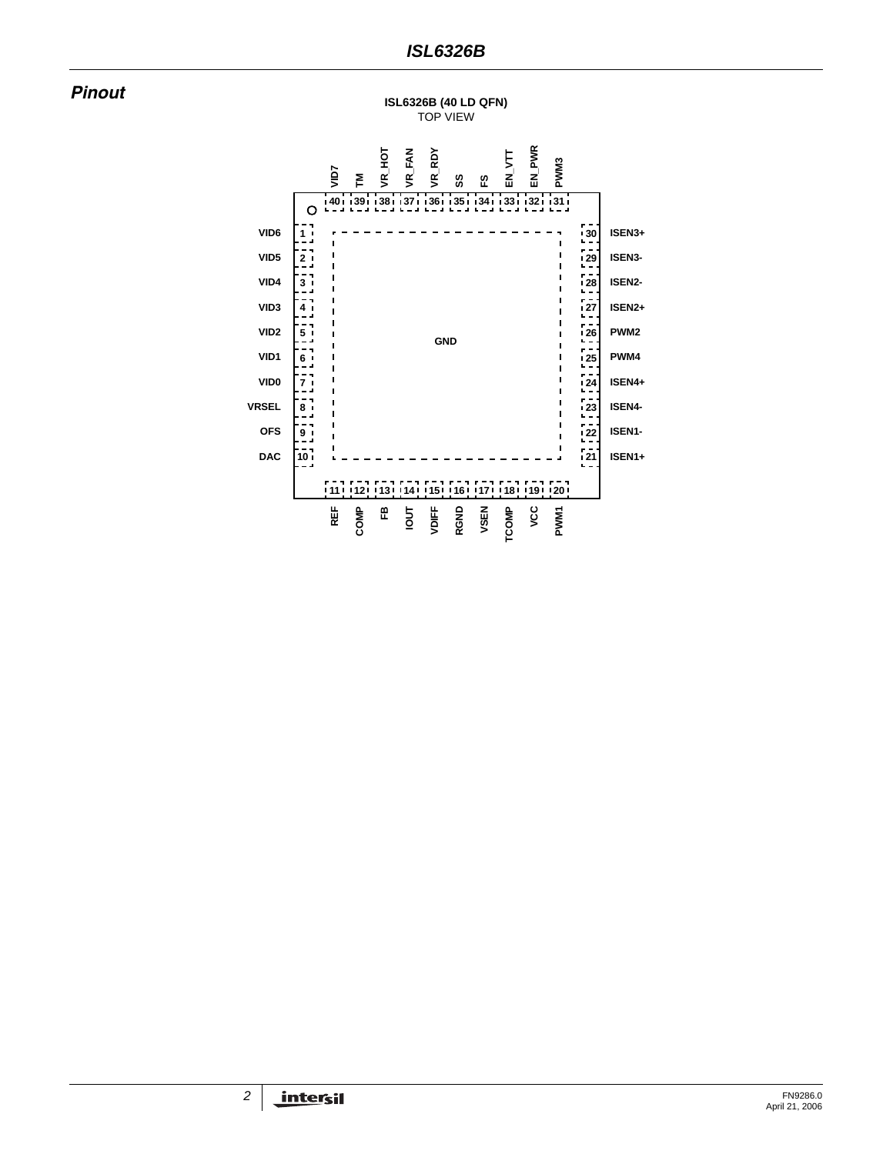*Pinout* **ISL6326B (40 LD QFN)** TOP VIEW

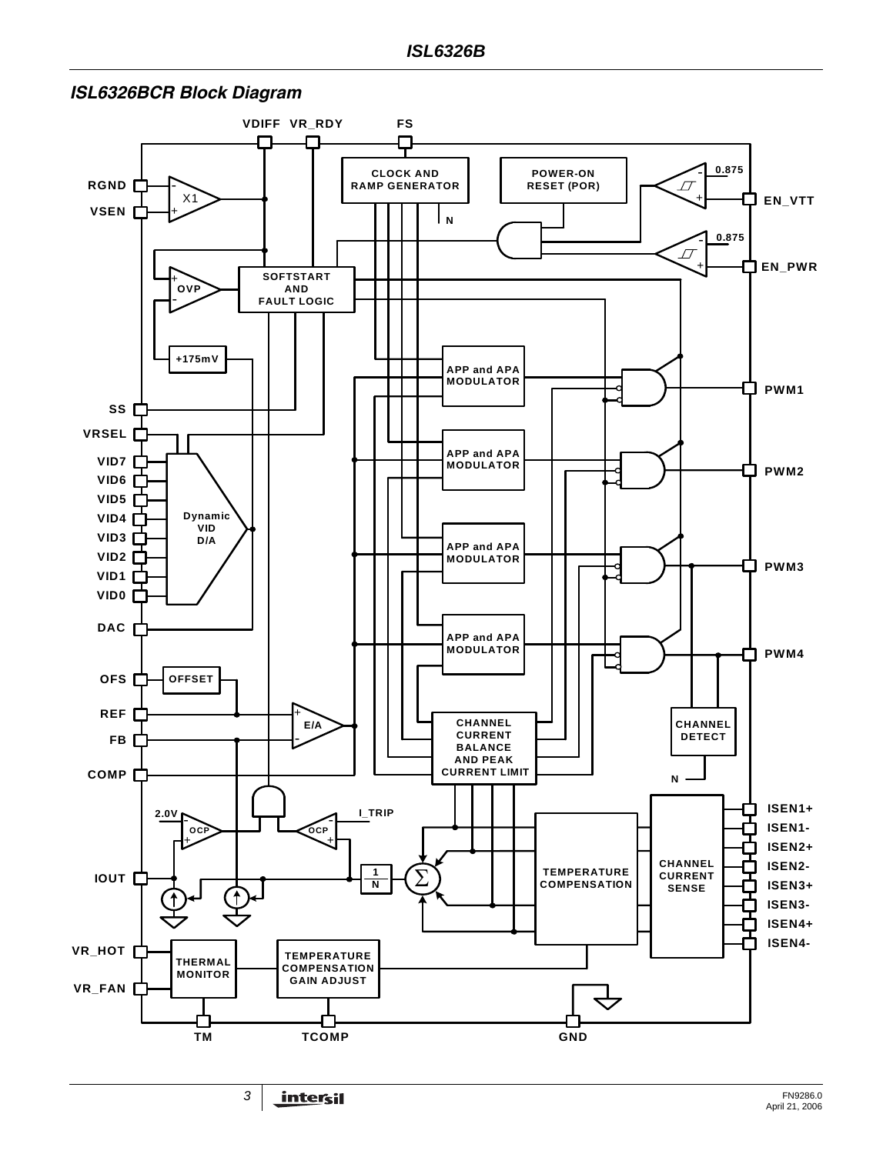

### *ISL6326BCR Block Diagram*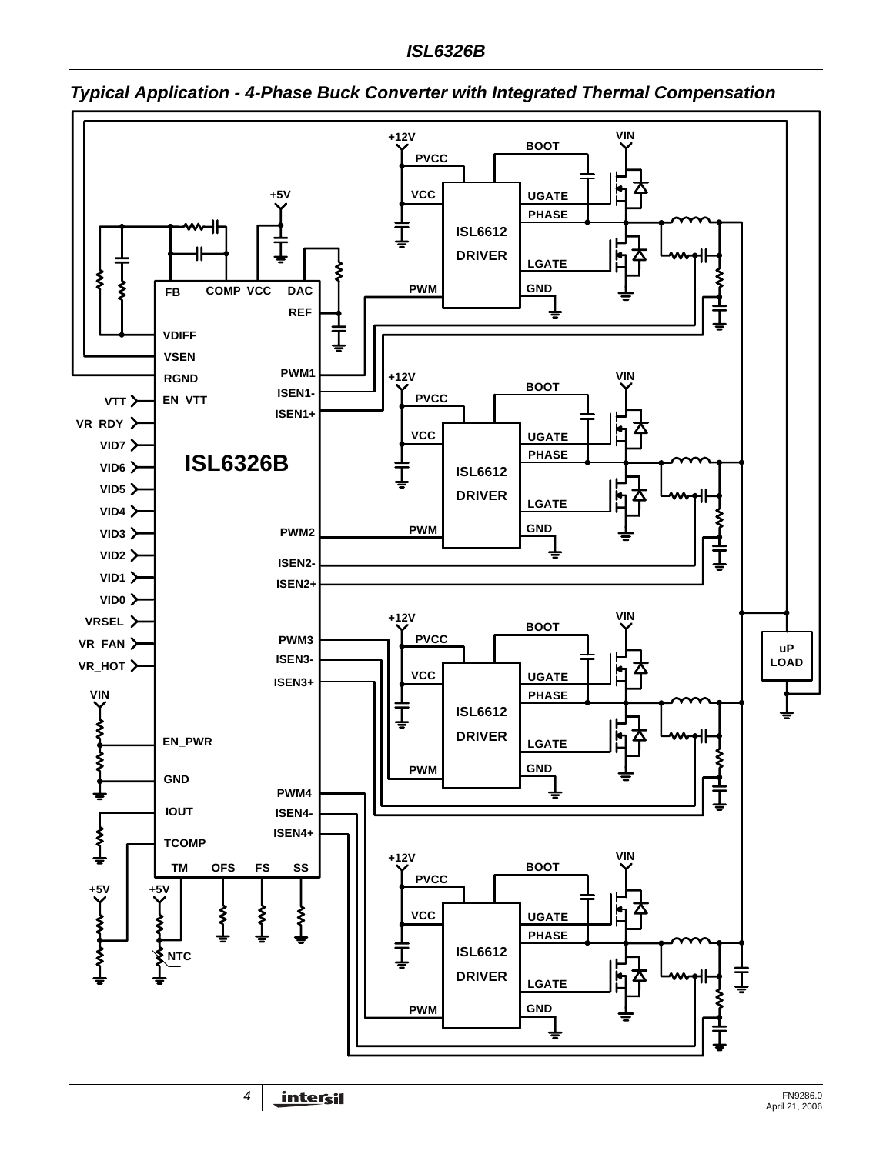

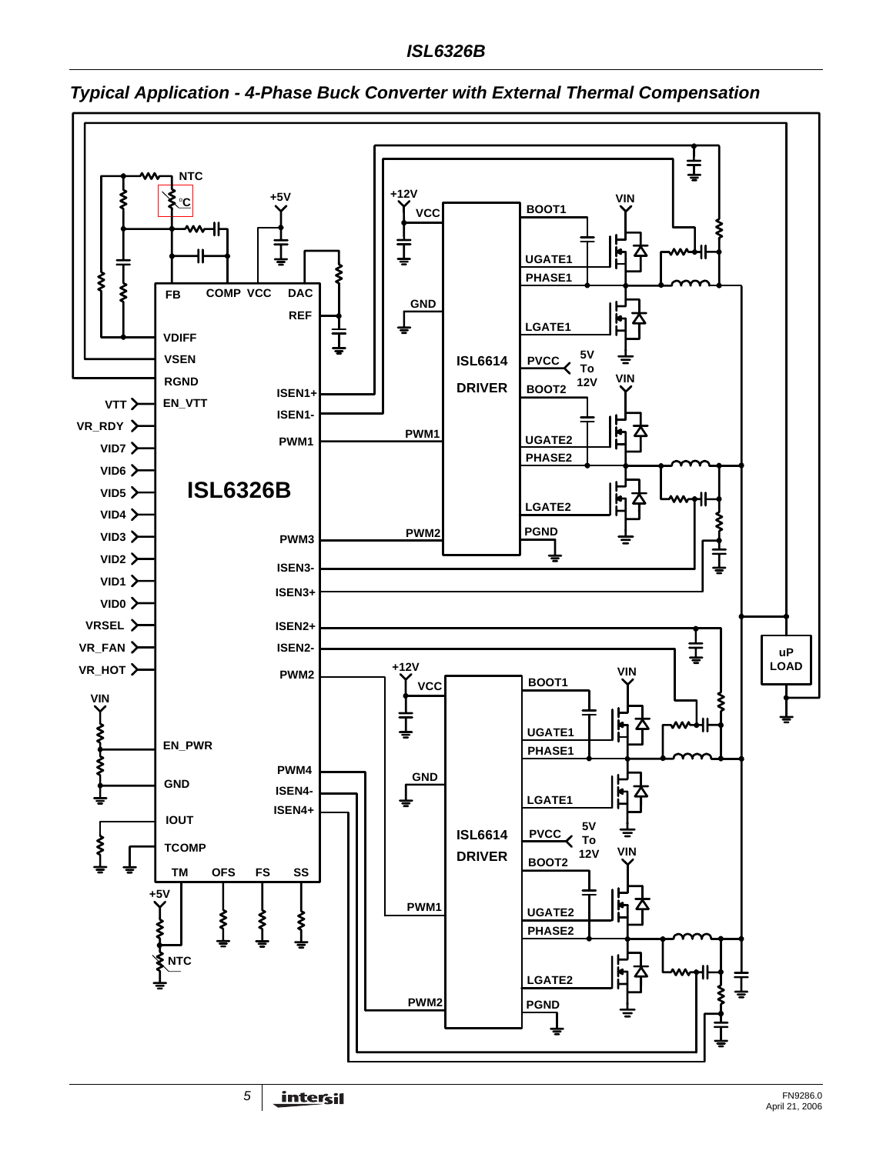

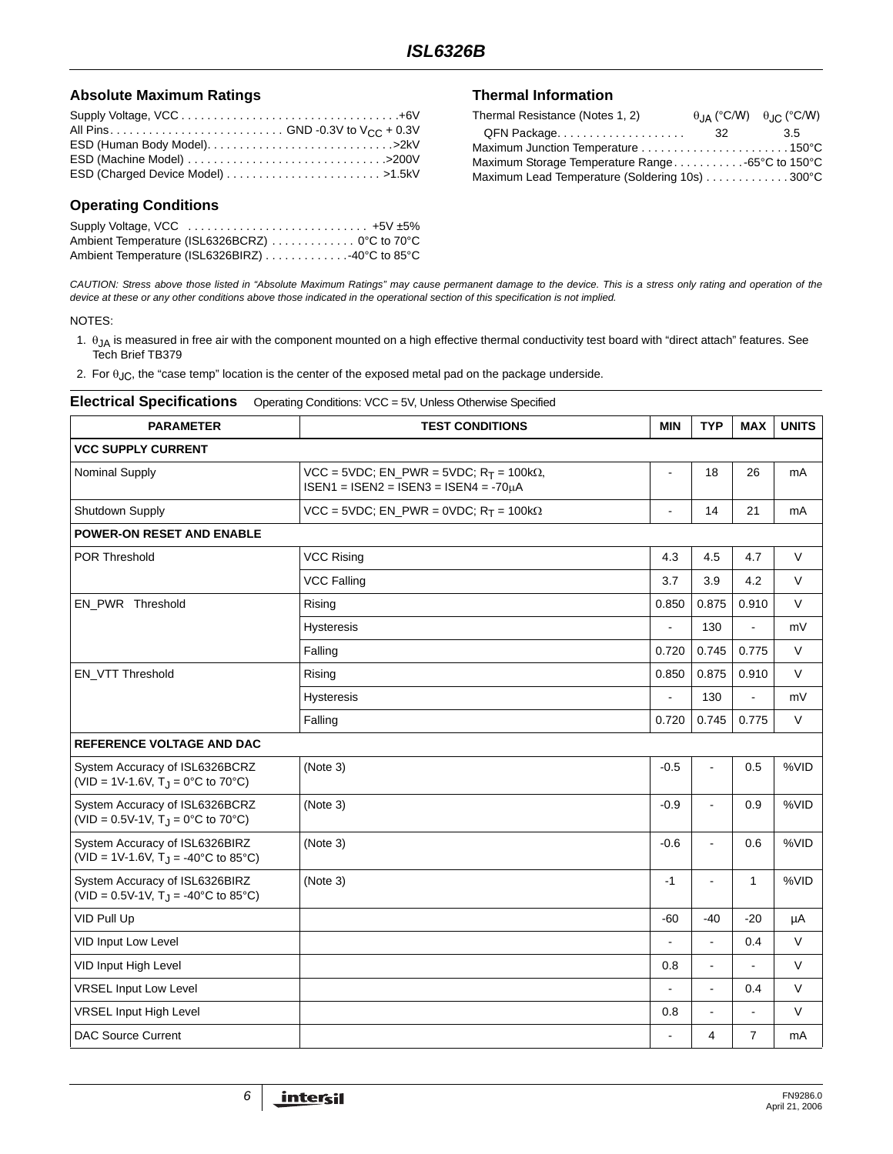### **Absolute Maximum Ratings**

| ESD (Charged Device Model) >1.5kV |  |
|-----------------------------------|--|

### **Operating Conditions**

|  | Ambient Temperature (ISL6326BCRZ) 0°C to 70°C  |  |
|--|------------------------------------------------|--|
|  | Ambient Temperature (ISL6326BIRZ) 40°C to 85°C |  |

### **Thermal Information**

| Thermal Resistance (Notes 1, 2)                |     | $\theta$ , $\alpha$ (°C/W) $\theta$ , $\alpha$ (°C/W) |
|------------------------------------------------|-----|-------------------------------------------------------|
|                                                | -32 | 3.5                                                   |
| Maximum Junction Temperature 150°C             |     |                                                       |
|                                                |     |                                                       |
| Maximum Lead Temperature (Soldering 10s) 300°C |     |                                                       |

*CAUTION: Stress above those listed in "Absolute Maximum Ratings" may cause permanent damage to the device. This is a stress only rating and operation of the device at these or any other conditions above those indicated in the operational section of this specification is not implied.*

#### NOTES:

- 1.  $\theta_{JA}$  is measured in free air with the component mounted on a high effective thermal conductivity test board with "direct attach" features. See Tech Brief TB379
- 2. For  $\theta_{JC}$ , the "case temp" location is the center of the exposed metal pad on the package underside.

| <b>Electrical Specifications</b> | Operating Conditions: VCC = 5V, Unless Otherwise Specified |
|----------------------------------|------------------------------------------------------------|
|----------------------------------|------------------------------------------------------------|

| <b>PARAMETER</b>                                                                                          | <b>TEST CONDITIONS</b>                                                                                    | <b>MIN</b>     | <b>TYP</b>               | <b>MAX</b>     | <b>UNITS</b> |
|-----------------------------------------------------------------------------------------------------------|-----------------------------------------------------------------------------------------------------------|----------------|--------------------------|----------------|--------------|
| <b>VCC SUPPLY CURRENT</b>                                                                                 |                                                                                                           |                |                          |                |              |
| Nominal Supply                                                                                            | $VCC = 5VDC$ ; EN_PWR = 5VDC; R <sub>T</sub> = 100k $\Omega$ ,<br>$ISBN1 = ISBN2 = ISBN3 = ISBN4 = -70µA$ |                | 18                       | 26             | mA           |
| Shutdown Supply                                                                                           | VCC = 5VDC; EN_PWR = 0VDC; $R_T$ = 100k $\Omega$                                                          |                | 14                       | 21             | mA           |
| <b>POWER-ON RESET AND ENABLE</b>                                                                          |                                                                                                           |                |                          |                |              |
| <b>POR Threshold</b>                                                                                      | <b>VCC Rising</b>                                                                                         | 4.3            | 4.5                      | 4.7            | $\vee$       |
|                                                                                                           | <b>VCC Falling</b>                                                                                        | 3.7            | 3.9                      | 4.2            | $\vee$       |
| EN PWR Threshold                                                                                          | Rising                                                                                                    | 0.850          | 0.875                    | 0.910          | $\vee$       |
|                                                                                                           | <b>Hysteresis</b>                                                                                         |                | 130                      | L.             | mV           |
|                                                                                                           | Falling                                                                                                   | 0.720          | 0.745                    | 0.775          | V            |
| EN_VTT Threshold                                                                                          | Rising                                                                                                    | 0.850          | 0.875                    | 0.910          | $\vee$       |
|                                                                                                           | <b>Hysteresis</b>                                                                                         |                | 130                      | ÷,             | mV           |
|                                                                                                           | Falling                                                                                                   | 0.720          | 0.745                    | 0.775          | $\vee$       |
| <b>REFERENCE VOLTAGE AND DAC</b>                                                                          |                                                                                                           |                |                          |                |              |
| System Accuracy of ISL6326BCRZ<br>(VID = 1V-1.6V, $T_{\rm J}$ = 0°C to 70°C)                              | (Note 3)                                                                                                  | $-0.5$         | $\overline{a}$           | 0.5            | %VID         |
| System Accuracy of ISL6326BCRZ<br>(VID = $0.5V-1V$ , T <sub>J</sub> = $0^{\circ}$ C to 70 <sup>°</sup> C) | (Note 3)                                                                                                  | $-0.9$         | $\overline{\phantom{a}}$ | 0.9            | %VID         |
| System Accuracy of ISL6326BIRZ<br>(VID = 1V-1.6V, $T_{\rm J}$ = -40°C to 85°C)                            | (Note 3)                                                                                                  | $-0.6$         | $\blacksquare$           | 0.6            | %VID         |
| System Accuracy of ISL6326BIRZ<br>(VID = $0.5V-1V$ , T <sub>J</sub> = $-40^{\circ}$ C to 85°C)            | (Note 3)                                                                                                  | $-1$           | $\blacksquare$           | $\mathbf{1}$   | %VID         |
| VID Pull Up                                                                                               |                                                                                                           | $-60$          | $-40$                    | $-20$          | μA           |
| VID Input Low Level                                                                                       |                                                                                                           | ٠              | ÷                        | 0.4            | V            |
| VID Input High Level                                                                                      |                                                                                                           | 0.8            | $\blacksquare$           |                | $\vee$       |
| <b>VRSEL Input Low Level</b>                                                                              |                                                                                                           | $\overline{a}$ | ÷.                       | 0.4            | $\vee$       |
| <b>VRSEL Input High Level</b>                                                                             |                                                                                                           | 0.8            | $\blacksquare$           | $\overline{a}$ | V            |
| <b>DAC Source Current</b>                                                                                 |                                                                                                           | L.             | 4                        | $\overline{7}$ | mA           |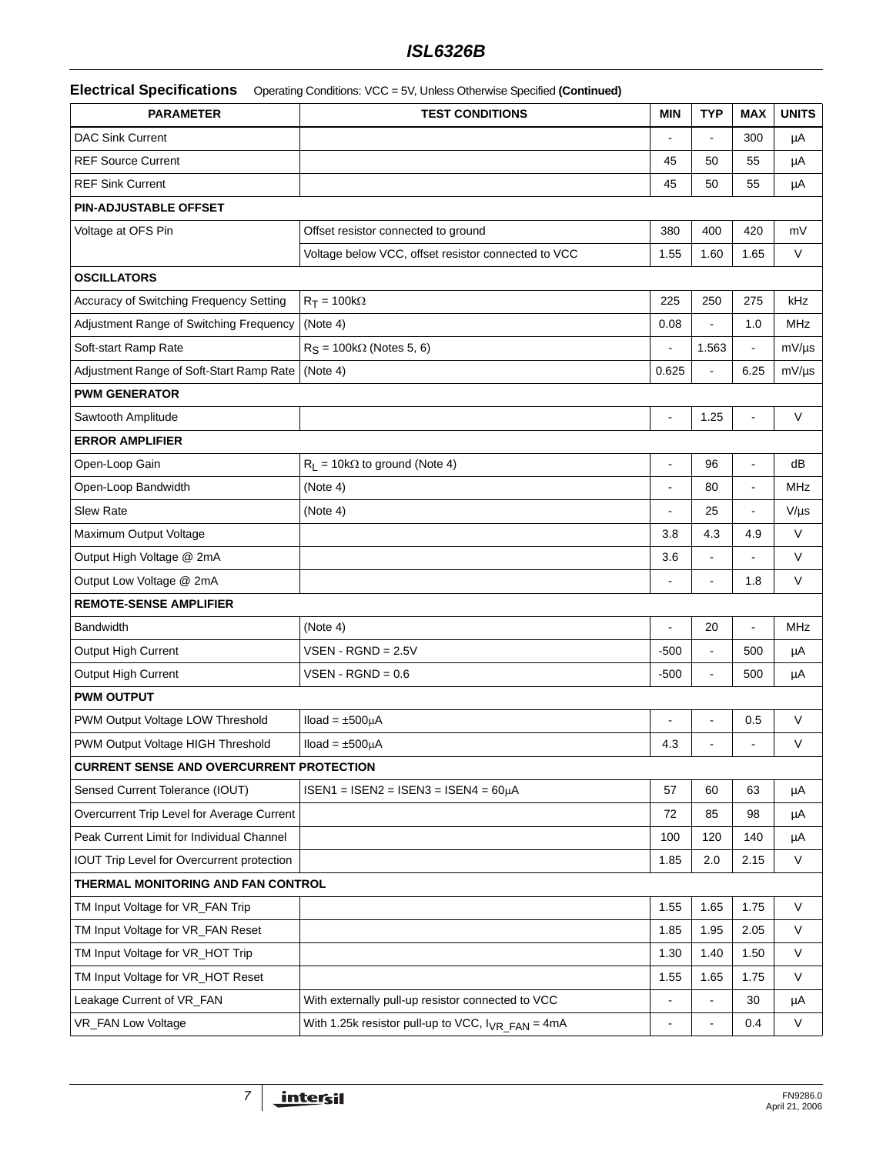# *ISL6326B*

|  | Electrical Specifications  Operating Conditions: VCC = 5V, Unless Otherwise Specified (Continued) |  |
|--|---------------------------------------------------------------------------------------------------|--|
|--|---------------------------------------------------------------------------------------------------|--|

| <b>PARAMETER</b>                                | <b>TEST CONDITIONS</b>                                  | <b>MIN</b>               | <b>TYP</b>     | <b>MAX</b> | <b>UNITS</b> |  |  |
|-------------------------------------------------|---------------------------------------------------------|--------------------------|----------------|------------|--------------|--|--|
| <b>DAC Sink Current</b>                         |                                                         |                          |                | 300        | μA           |  |  |
| <b>REF Source Current</b>                       |                                                         | 45                       | 50             | 55         | μA           |  |  |
| <b>REF Sink Current</b>                         |                                                         | 45                       | 50             | 55         | μA           |  |  |
| PIN-ADJUSTABLE OFFSET                           |                                                         |                          |                |            |              |  |  |
| Voltage at OFS Pin                              | Offset resistor connected to ground                     | 380                      | 400            | 420        | mV           |  |  |
|                                                 | Voltage below VCC, offset resistor connected to VCC     | 1.55                     | 1.60           | 1.65       | $\vee$       |  |  |
| <b>OSCILLATORS</b>                              |                                                         |                          |                |            |              |  |  |
| Accuracy of Switching Frequency Setting         | $R_T = 100k\Omega$                                      | 225                      | 250            | 275        | kHz          |  |  |
| Adjustment Range of Switching Frequency         | (Note 4)                                                | 0.08                     |                | 1.0        | MHz          |  |  |
| Soft-start Ramp Rate                            | $RS = 100k\Omega$ (Notes 5, 6)                          |                          | 1.563          |            | $mV/\mu s$   |  |  |
| Adjustment Range of Soft-Start Ramp Rate        | (Note 4)                                                | 0.625                    |                | 6.25       | $mV/\mu s$   |  |  |
| <b>PWM GENERATOR</b>                            |                                                         |                          |                |            |              |  |  |
| Sawtooth Amplitude                              |                                                         | $\blacksquare$           | 1.25           | ä,         | V            |  |  |
| <b>ERROR AMPLIFIER</b>                          |                                                         |                          |                |            |              |  |  |
| Open-Loop Gain                                  | $R_L$ = 10k $\Omega$ to ground (Note 4)                 | $\overline{a}$           | 96             | ÷,         | dB           |  |  |
| Open-Loop Bandwidth                             | (Note 4)                                                |                          | 80             | ÷,         | MHz          |  |  |
| <b>Slew Rate</b>                                | (Note 4)                                                |                          | 25             |            | $V/\mu s$    |  |  |
| Maximum Output Voltage                          |                                                         | 3.8                      | 4.3            | 4.9        | $\vee$       |  |  |
| Output High Voltage @ 2mA                       |                                                         | 3.6                      |                |            | V            |  |  |
| Output Low Voltage @ 2mA                        |                                                         |                          |                | 1.8        | V            |  |  |
| <b>REMOTE-SENSE AMPLIFIER</b>                   |                                                         |                          |                |            |              |  |  |
| <b>Bandwidth</b>                                | (Note 4)                                                |                          | 20             |            | MHz          |  |  |
| Output High Current                             | $VSEN$ - RGND = 2.5V                                    | $-500$                   |                | 500        | μA           |  |  |
| Output High Current                             | $VSEN$ - RGND = 0.6                                     | $-500$                   |                | 500        | μA           |  |  |
| <b>PWM OUTPUT</b>                               |                                                         |                          |                |            |              |  |  |
| PWM Output Voltage LOW Threshold                | $Iload = ±500µA$                                        |                          |                | 0.5        | V            |  |  |
| PWM Output Voltage HIGH Threshold               | $Iload = ±500uA$                                        | 4.3                      |                |            | V            |  |  |
| <b>CURRENT SENSE AND OVERCURRENT PROTECTION</b> |                                                         |                          |                |            |              |  |  |
| Sensed Current Tolerance (IOUT)                 | $ISBN1 = ISBN2 = ISBN3 = ISBN4 = 60µA$                  | 57                       | 60             | 63         | μA           |  |  |
| Overcurrent Trip Level for Average Current      |                                                         | 72                       | 85             | 98         | μA           |  |  |
| Peak Current Limit for Individual Channel       |                                                         | 100                      | 120            | 140        | μA           |  |  |
| IOUT Trip Level for Overcurrent protection      |                                                         | 1.85                     | 2.0            | 2.15       | V            |  |  |
| THERMAL MONITORING AND FAN CONTROL              |                                                         |                          |                |            |              |  |  |
| TM Input Voltage for VR FAN Trip                |                                                         | 1.55                     | 1.65           | 1.75       | $\vee$       |  |  |
| TM Input Voltage for VR_FAN Reset               |                                                         | 1.85                     | 1.95           | 2.05       | V            |  |  |
| TM Input Voltage for VR_HOT Trip                |                                                         | 1.30                     | 1.40           | 1.50       | $\mathsf{V}$ |  |  |
| TM Input Voltage for VR_HOT Reset               |                                                         | 1.55                     | 1.65           | 1.75       | V            |  |  |
| Leakage Current of VR_FAN                       | With externally pull-up resistor connected to VCC       |                          |                | 30         | μA           |  |  |
| VR_FAN Low Voltage                              | With 1.25k resistor pull-up to VCC, $I_{VR\_FAN} = 4mA$ | $\overline{\phantom{a}}$ | $\blacksquare$ | 0.4        | $\mathsf{V}$ |  |  |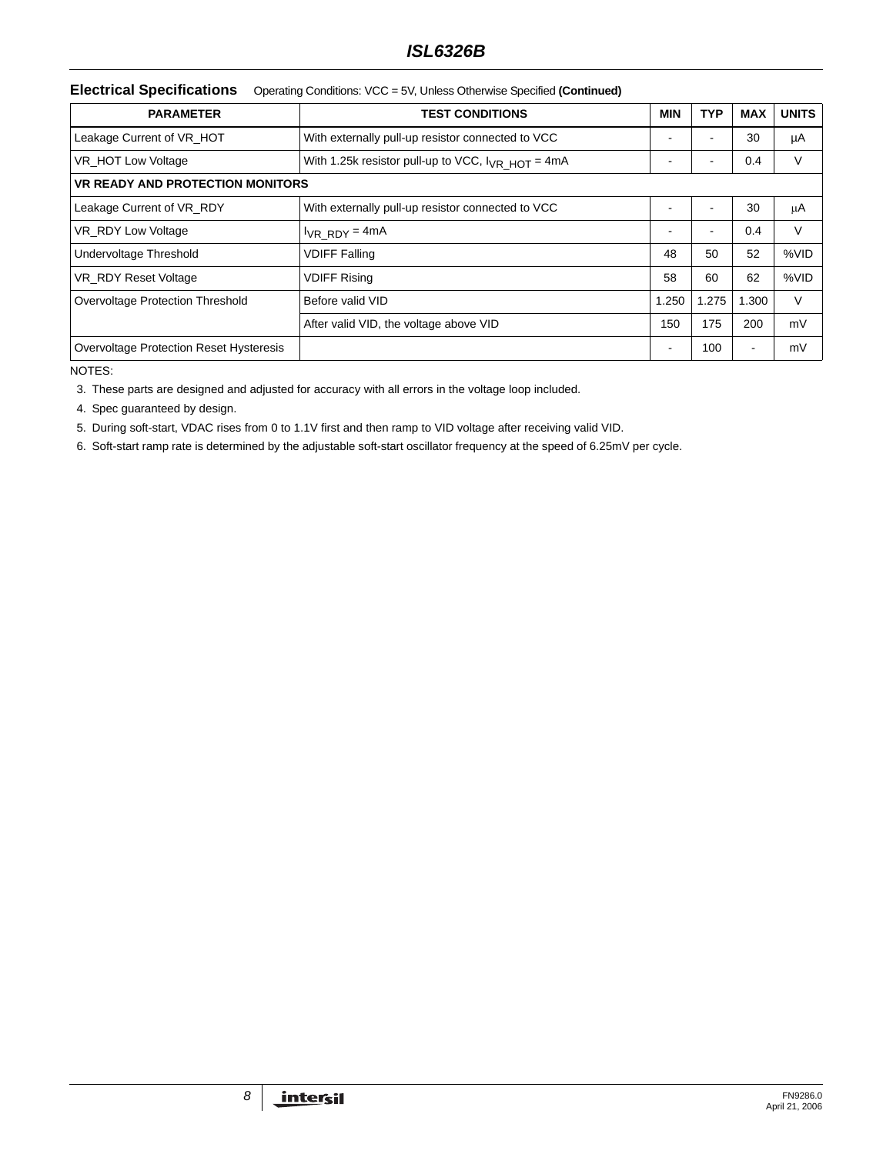# *ISL6326B*

### **Electrical Specifications** Operating Conditions: VCC = 5V, Unless Otherwise Specified **(Continued)**

| <b>PARAMETER</b>                               | <b>TEST CONDITIONS</b>                                   | <b>MIN</b>     | <b>TYP</b>     | <b>MAX</b>               | <b>UNITS</b> |
|------------------------------------------------|----------------------------------------------------------|----------------|----------------|--------------------------|--------------|
| Leakage Current of VR HOT                      | With externally pull-up resistor connected to VCC        | ۰              | ۰              | 30                       | μA           |
| VR_HOT Low Voltage                             | With 1.25k resistor pull-up to VCC, $I_{VR}$ $HOT = 4mA$ |                | -              | 0.4                      | ٧            |
| <b>VR READY AND PROTECTION MONITORS</b>        |                                                          |                |                |                          |              |
| Leakage Current of VR RDY                      | With externally pull-up resistor connected to VCC        | $\blacksquare$ | $\blacksquare$ | 30                       | μA           |
| VR_RDY Low Voltage                             | $I_{VR}$ RDY = 4mA                                       | -              | ۰              | 0.4                      | V            |
| Undervoltage Threshold                         | <b>VDIFF Falling</b>                                     | 48             | 50             | 52                       | %VID         |
| VR RDY Reset Voltage                           | <b>VDIFF Rising</b>                                      | 58             | 60             | 62                       | %VID         |
| Overvoltage Protection Threshold               | Before valid VID                                         | 1.250          | 1.275          | 1.300                    | V            |
|                                                | After valid VID, the voltage above VID                   | 150            | 175            | 200                      | mV           |
| <b>Overvoltage Protection Reset Hysteresis</b> |                                                          | $\blacksquare$ | 100            | $\overline{\phantom{a}}$ | mV           |

NOTES:

3. These parts are designed and adjusted for accuracy with all errors in the voltage loop included.

4. Spec guaranteed by design.

5. During soft-start, VDAC rises from 0 to 1.1V first and then ramp to VID voltage after receiving valid VID.

6. Soft-start ramp rate is determined by the adjustable soft-start oscillator frequency at the speed of 6.25mV per cycle.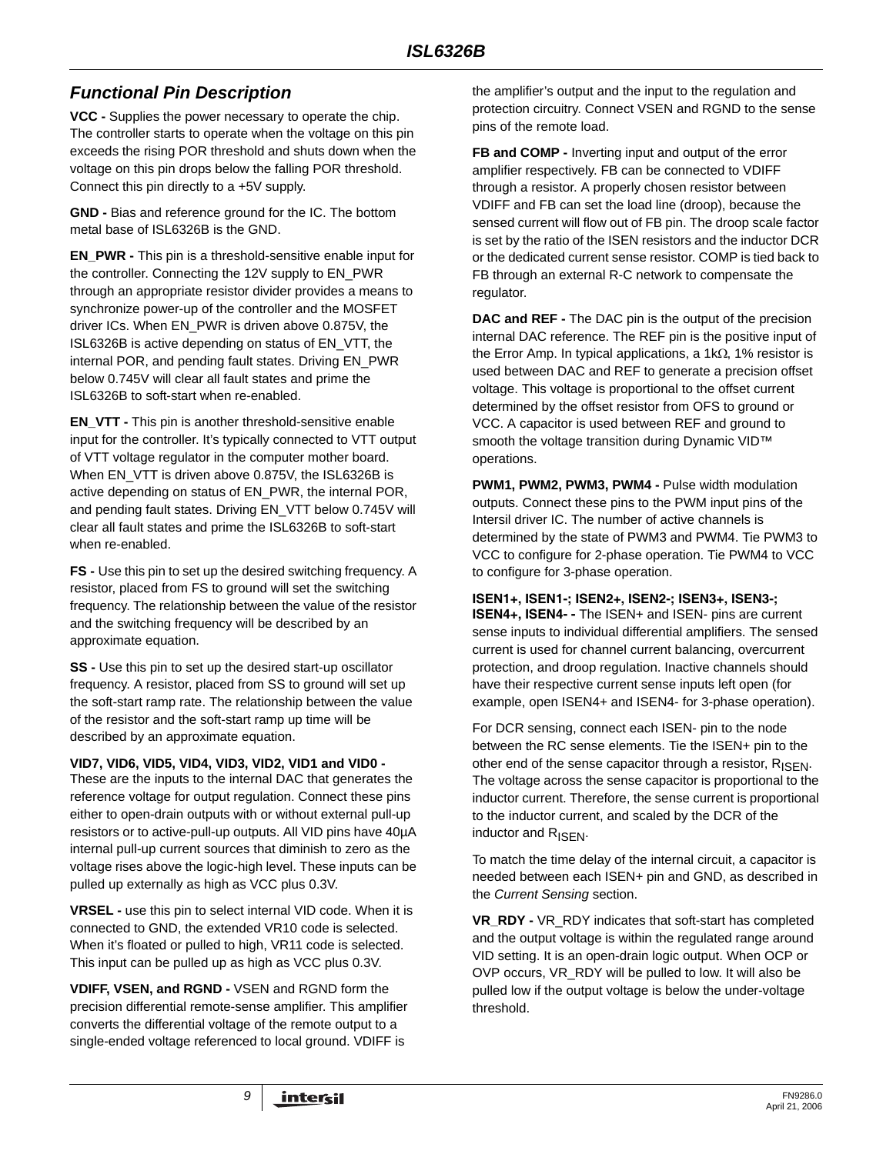# *Functional Pin Description*

**VCC -** Supplies the power necessary to operate the chip. The controller starts to operate when the voltage on this pin exceeds the rising POR threshold and shuts down when the voltage on this pin drops below the falling POR threshold. Connect this pin directly to a +5V supply.

**GND -** Bias and reference ground for the IC. The bottom metal base of ISL6326B is the GND.

**EN\_PWR -** This pin is a threshold-sensitive enable input for the controller. Connecting the 12V supply to EN\_PWR through an appropriate resistor divider provides a means to synchronize power-up of the controller and the MOSFET driver ICs. When EN\_PWR is driven above 0.875V, the ISL6326B is active depending on status of EN\_VTT, the internal POR, and pending fault states. Driving EN\_PWR below 0.745V will clear all fault states and prime the ISL6326B to soft-start when re-enabled.

**EN\_VTT -** This pin is another threshold-sensitive enable input for the controller. It's typically connected to VTT output of VTT voltage regulator in the computer mother board. When EN\_VTT is driven above 0.875V, the ISL6326B is active depending on status of EN\_PWR, the internal POR, and pending fault states. Driving EN\_VTT below 0.745V will clear all fault states and prime the ISL6326B to soft-start when re-enabled.

**FS -** Use this pin to set up the desired switching frequency. A resistor, placed from FS to ground will set the switching frequency. The relationship between the value of the resistor and the switching frequency will be described by an approximate equation.

**SS -** Use this pin to set up the desired start-up oscillator frequency. A resistor, placed from SS to ground will set up the soft-start ramp rate. The relationship between the value of the resistor and the soft-start ramp up time will be described by an approximate equation.

### **VID7, VID6, VID5, VID4, VID3, VID2, VID1 and VID0 -**

These are the inputs to the internal DAC that generates the reference voltage for output regulation. Connect these pins either to open-drain outputs with or without external pull-up resistors or to active-pull-up outputs. All VID pins have 40µA internal pull-up current sources that diminish to zero as the voltage rises above the logic-high level. These inputs can be pulled up externally as high as VCC plus 0.3V.

**VRSEL -** use this pin to select internal VID code. When it is connected to GND, the extended VR10 code is selected. When it's floated or pulled to high, VR11 code is selected. This input can be pulled up as high as VCC plus 0.3V.

**VDIFF, VSEN, and RGND -** VSEN and RGND form the precision differential remote-sense amplifier. This amplifier converts the differential voltage of the remote output to a single-ended voltage referenced to local ground. VDIFF is

the amplifier's output and the input to the regulation and protection circuitry. Connect VSEN and RGND to the sense pins of the remote load.

**FB and COMP -** Inverting input and output of the error amplifier respectively. FB can be connected to VDIFF through a resistor. A properly chosen resistor between VDIFF and FB can set the load line (droop), because the sensed current will flow out of FB pin. The droop scale factor is set by the ratio of the ISEN resistors and the inductor DCR or the dedicated current sense resistor. COMP is tied back to FB through an external R-C network to compensate the regulator.

**DAC and REF -** The DAC pin is the output of the precision internal DAC reference. The REF pin is the positive input of the Error Amp. In typical applications, a 1kΩ, 1% resistor is used between DAC and REF to generate a precision offset voltage. This voltage is proportional to the offset current determined by the offset resistor from OFS to ground or VCC. A capacitor is used between REF and ground to smooth the voltage transition during Dynamic VID™ operations.

**PWM1, PWM2, PWM3, PWM4 - Pulse width modulation** outputs. Connect these pins to the PWM input pins of the Intersil driver IC. The number of active channels is determined by the state of PWM3 and PWM4. Tie PWM3 to VCC to configure for 2-phase operation. Tie PWM4 to VCC to configure for 3-phase operation.

### **ISEN1+, ISEN1-; ISEN2+, ISEN2-; ISEN3+, ISEN3-;**

**ISEN4+, ISEN4- -** The ISEN+ and ISEN- pins are current sense inputs to individual differential amplifiers. The sensed current is used for channel current balancing, overcurrent protection, and droop regulation. Inactive channels should have their respective current sense inputs left open (for example, open ISEN4+ and ISEN4- for 3-phase operation).

For DCR sensing, connect each ISEN- pin to the node between the RC sense elements. Tie the ISEN+ pin to the other end of the sense capacitor through a resistor,  $R_{\text{ISEN}}$ . The voltage across the sense capacitor is proportional to the inductor current. Therefore, the sense current is proportional to the inductor current, and scaled by the DCR of the inductor and R<sub>ISEN</sub>.

To match the time delay of the internal circuit, a capacitor is needed between each ISEN+ pin and GND, as described in the *Current Sensing* section.

**VR\_RDY -** VR\_RDY indicates that soft-start has completed and the output voltage is within the regulated range around VID setting. It is an open-drain logic output. When OCP or OVP occurs, VR\_RDY will be pulled to low. It will also be pulled low if the output voltage is below the under-voltage threshold.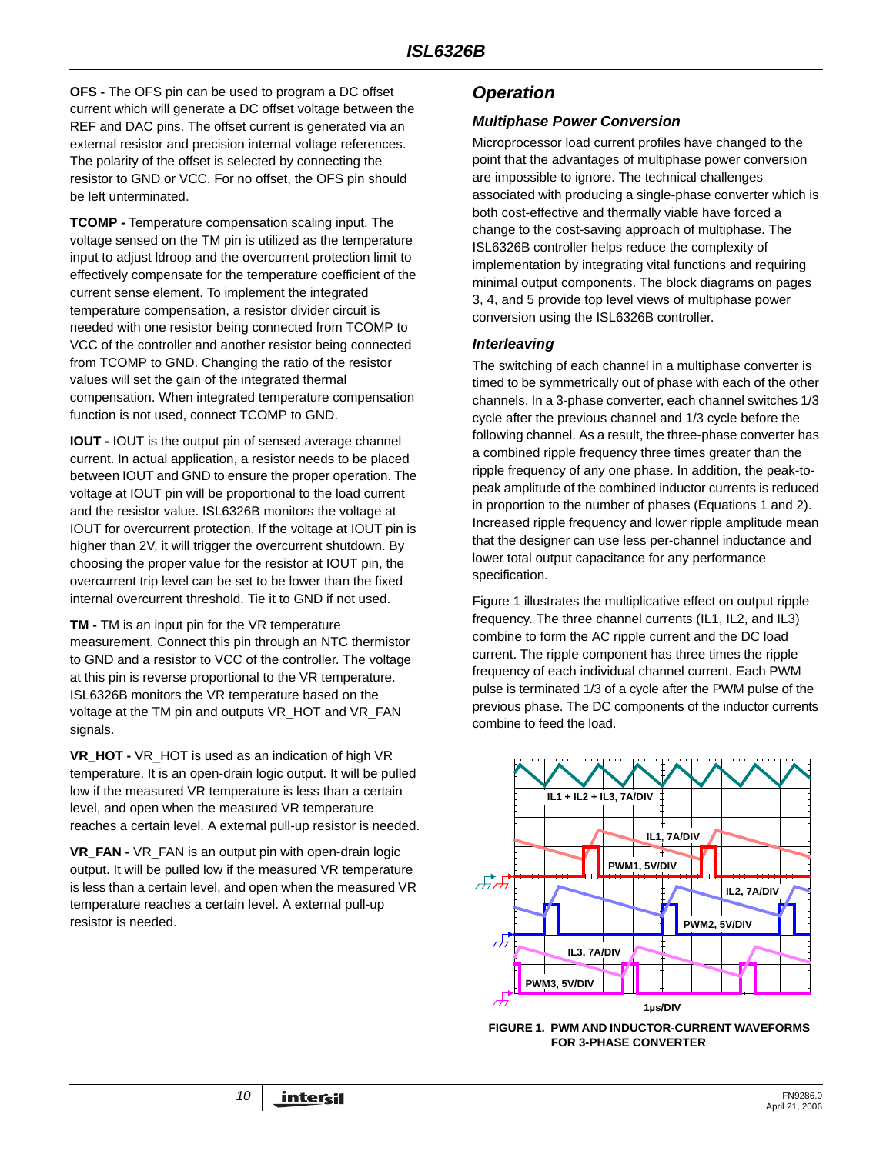**OFS -** The OFS pin can be used to program a DC offset current which will generate a DC offset voltage between the REF and DAC pins. The offset current is generated via an external resistor and precision internal voltage references. The polarity of the offset is selected by connecting the resistor to GND or VCC. For no offset, the OFS pin should be left unterminated.

**TCOMP -** Temperature compensation scaling input. The voltage sensed on the TM pin is utilized as the temperature input to adjust ldroop and the overcurrent protection limit to effectively compensate for the temperature coefficient of the current sense element. To implement the integrated temperature compensation, a resistor divider circuit is needed with one resistor being connected from TCOMP to VCC of the controller and another resistor being connected from TCOMP to GND. Changing the ratio of the resistor values will set the gain of the integrated thermal compensation. When integrated temperature compensation function is not used, connect TCOMP to GND.

**IOUT - IOUT is the output pin of sensed average channel** current. In actual application, a resistor needs to be placed between IOUT and GND to ensure the proper operation. The voltage at IOUT pin will be proportional to the load current and the resistor value. ISL6326B monitors the voltage at IOUT for overcurrent protection. If the voltage at IOUT pin is higher than 2V, it will trigger the overcurrent shutdown. By choosing the proper value for the resistor at IOUT pin, the overcurrent trip level can be set to be lower than the fixed internal overcurrent threshold. Tie it to GND if not used.

**TM -** TM is an input pin for the VR temperature measurement. Connect this pin through an NTC thermistor to GND and a resistor to VCC of the controller. The voltage at this pin is reverse proportional to the VR temperature. ISL6326B monitors the VR temperature based on the voltage at the TM pin and outputs VR\_HOT and VR\_FAN signals.

**VR\_HOT -** VR\_HOT is used as an indication of high VR temperature. It is an open-drain logic output. It will be pulled low if the measured VR temperature is less than a certain level, and open when the measured VR temperature reaches a certain level. A external pull-up resistor is needed.

**VR\_FAN -** VR\_FAN is an output pin with open-drain logic output. It will be pulled low if the measured VR temperature is less than a certain level, and open when the measured VR temperature reaches a certain level. A external pull-up resistor is needed.

# *Operation*

### *Multiphase Power Conversion*

Microprocessor load current profiles have changed to the point that the advantages of multiphase power conversion are impossible to ignore. The technical challenges associated with producing a single-phase converter which is both cost-effective and thermally viable have forced a change to the cost-saving approach of multiphase. The ISL6326B controller helps reduce the complexity of implementation by integrating vital functions and requiring minimal output components. The block diagrams on pages 3, 4, and 5 provide top level views of multiphase power conversion using the ISL6326B controller.

### *Interleaving*

The switching of each channel in a multiphase converter is timed to be symmetrically out of phase with each of the other channels. In a 3-phase converter, each channel switches 1/3 cycle after the previous channel and 1/3 cycle before the following channel. As a result, the three-phase converter has a combined ripple frequency three times greater than the ripple frequency of any one phase. In addition, the peak-topeak amplitude of the combined inductor currents is reduced in proportion to the number of phases (Equations 1 and 2). Increased ripple frequency and lower ripple amplitude mean that the designer can use less per-channel inductance and lower total output capacitance for any performance specification.

Figure 1 illustrates the multiplicative effect on output ripple frequency. The three channel currents (IL1, IL2, and IL3) combine to form the AC ripple current and the DC load current. The ripple component has three times the ripple frequency of each individual channel current. Each PWM pulse is terminated 1/3 of a cycle after the PWM pulse of the previous phase. The DC components of the inductor currents combine to feed the load.



**FIGURE 1. PWM AND INDUCTOR-CURRENT WAVEFORMS FOR 3-PHASE CONVERTER**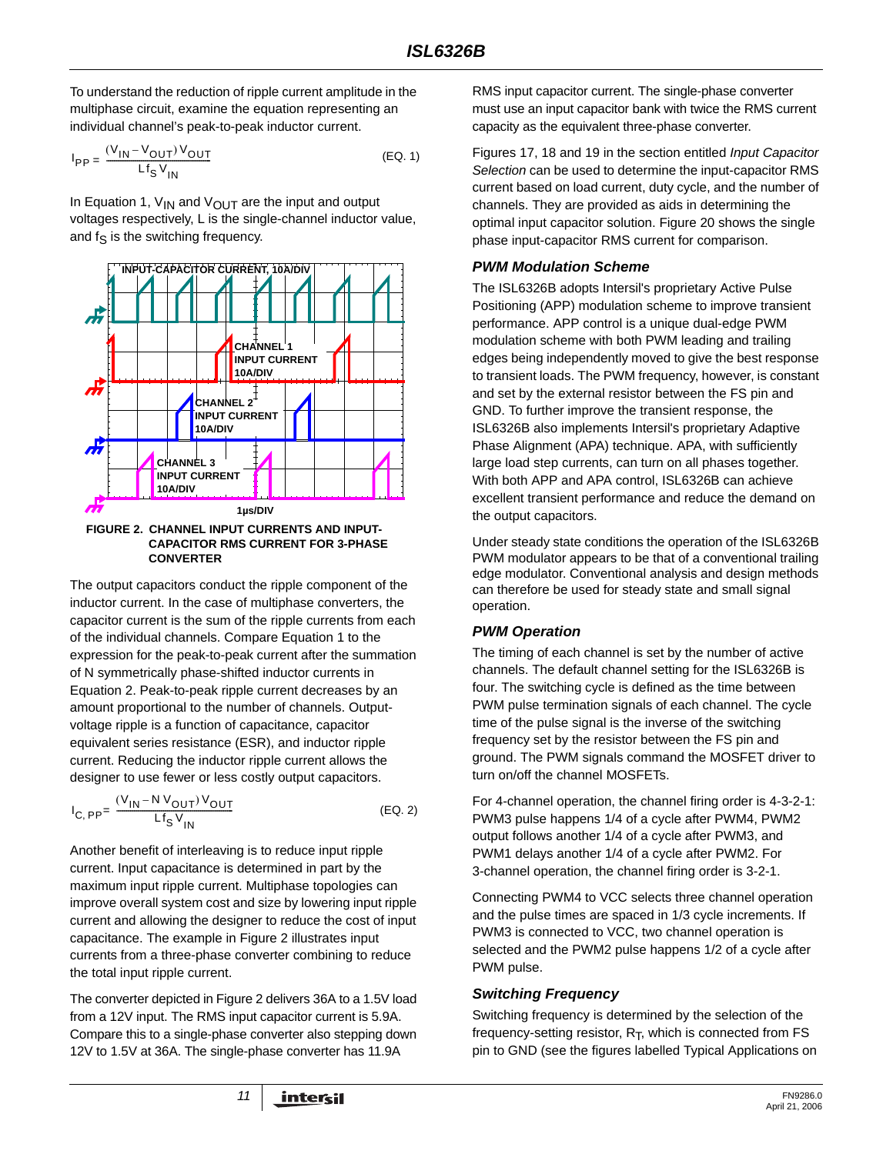To understand the reduction of ripple current amplitude in the multiphase circuit, examine the equation representing an individual channel's peak-to-peak inductor current.

$$
I_{PP} = \frac{(V_{1N} - V_{OUT}) V_{OUT}}{Lf_S V_{IN}}
$$
 (EQ. 1)

In Equation 1,  $V_{IN}$  and  $V_{OUT}$  are the input and output voltages respectively, L is the single-channel inductor value, and  $f_S$  is the switching frequency.



**CAPACITOR RMS CURRENT FOR 3-PHASE CONVERTER**

The output capacitors conduct the ripple component of the inductor current. In the case of multiphase converters, the capacitor current is the sum of the ripple currents from each of the individual channels. Compare Equation 1 to the expression for the peak-to-peak current after the summation of N symmetrically phase-shifted inductor currents in Equation 2. Peak-to-peak ripple current decreases by an amount proportional to the number of channels. Outputvoltage ripple is a function of capacitance, capacitor equivalent series resistance (ESR), and inductor ripple current. Reducing the inductor ripple current allows the designer to use fewer or less costly output capacitors.

$$
I_{C, PP} = \frac{(V_{1N} - N V_{OUT}) V_{OUT}}{Lf_S V_{IN}}
$$
 (EQ. 2)

Another benefit of interleaving is to reduce input ripple current. Input capacitance is determined in part by the maximum input ripple current. Multiphase topologies can improve overall system cost and size by lowering input ripple current and allowing the designer to reduce the cost of input capacitance. The example in Figure 2 illustrates input currents from a three-phase converter combining to reduce the total input ripple current.

The converter depicted in Figure 2 delivers 36A to a 1.5V load from a 12V input. The RMS input capacitor current is 5.9A. Compare this to a single-phase converter also stepping down 12V to 1.5V at 36A. The single-phase converter has 11.9A

RMS input capacitor current. The single-phase converter must use an input capacitor bank with twice the RMS current capacity as the equivalent three-phase converter.

Figures 17, 18 and 19 in the section entitled *Input Capacitor Selection* can be used to determine the input-capacitor RMS current based on load current, duty cycle, and the number of channels. They are provided as aids in determining the optimal input capacitor solution. Figure 20 shows the single phase input-capacitor RMS current for comparison.

### *PWM Modulation Scheme*

The ISL6326B adopts Intersil's proprietary Active Pulse Positioning (APP) modulation scheme to improve transient performance. APP control is a unique dual-edge PWM modulation scheme with both PWM leading and trailing edges being independently moved to give the best response to transient loads. The PWM frequency, however, is constant and set by the external resistor between the FS pin and GND. To further improve the transient response, the ISL6326B also implements Intersil's proprietary Adaptive Phase Alignment (APA) technique. APA, with sufficiently large load step currents, can turn on all phases together. With both APP and APA control, ISL6326B can achieve excellent transient performance and reduce the demand on the output capacitors.

Under steady state conditions the operation of the ISL6326B PWM modulator appears to be that of a conventional trailing edge modulator. Conventional analysis and design methods can therefore be used for steady state and small signal operation.

### *PWM Operation*

The timing of each channel is set by the number of active channels. The default channel setting for the ISL6326B is four. The switching cycle is defined as the time between PWM pulse termination signals of each channel. The cycle time of the pulse signal is the inverse of the switching frequency set by the resistor between the FS pin and ground. The PWM signals command the MOSFET driver to turn on/off the channel MOSFETs.

For 4-channel operation, the channel firing order is 4-3-2-1: PWM3 pulse happens 1/4 of a cycle after PWM4, PWM2 output follows another 1/4 of a cycle after PWM3, and PWM1 delays another 1/4 of a cycle after PWM2. For 3-channel operation, the channel firing order is 3-2-1.

Connecting PWM4 to VCC selects three channel operation and the pulse times are spaced in 1/3 cycle increments. If PWM3 is connected to VCC, two channel operation is selected and the PWM2 pulse happens 1/2 of a cycle after PWM pulse.

### *Switching Frequency*

Switching frequency is determined by the selection of the frequency-setting resistor,  $R_T$ , which is connected from  $FS$ pin to GND (see the figures labelled Typical Applications on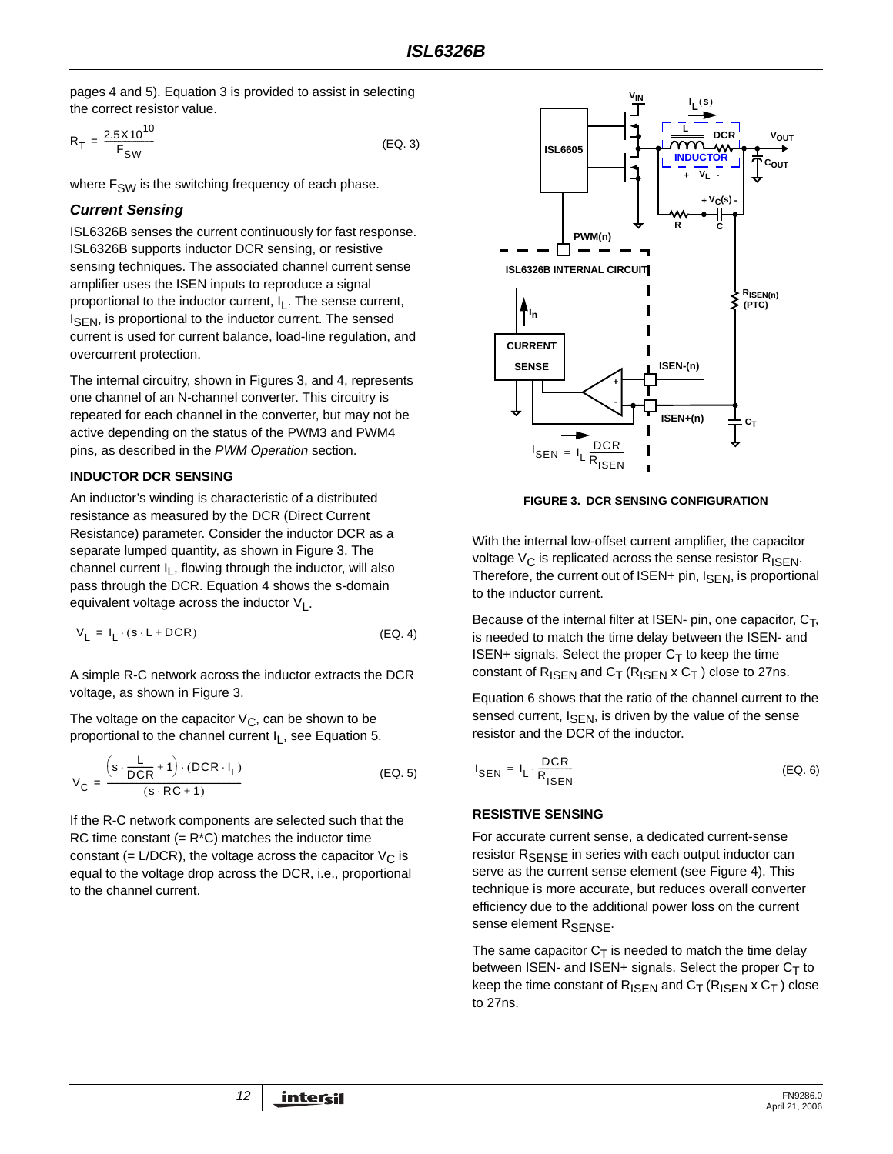pages 4 and 5). Equation 3 is provided to assist in selecting the correct resistor value.

$$
R_T = \frac{2.5 \times 10^{10}}{F_{SW}} \tag{Eq. 3}
$$

where  $F_{SW}$  is the switching frequency of each phase.

### *Current Sensing*

ISL6326B senses the current continuously for fast response. ISL6326B supports inductor DCR sensing, or resistive sensing techniques. The associated channel current sense amplifier uses the ISEN inputs to reproduce a signal proportional to the inductor current,  $I<sub>L</sub>$ . The sense current,  $I_{\text{SFN}}$ , is proportional to the inductor current. The sensed current is used for current balance, load-line regulation, and overcurrent protection.

The internal circuitry, shown in Figures 3, and 4, represents one channel of an N-channel converter. This circuitry is repeated for each channel in the converter, but may not be active depending on the status of the PWM3 and PWM4 pins, as described in the *PWM Operation* section.

### **INDUCTOR DCR SENSING**

An inductor's winding is characteristic of a distributed resistance as measured by the DCR (Direct Current Resistance) parameter. Consider the inductor DCR as a separate lumped quantity, as shown in Figure 3. The channel current  $I<sub>L</sub>$ , flowing through the inductor, will also pass through the DCR. Equation 4 shows the s-domain equivalent voltage across the inductor  $V_1$ .

$$
V_{L} = I_{L} \cdot (s \cdot L + DCR) \tag{EQ.4}
$$

A simple R-C network across the inductor extracts the DCR voltage, as shown in Figure 3.

The voltage on the capacitor  $V_C$ , can be shown to be proportional to the channel current I<sub>L</sub>, see Equation 5.

$$
V_C = \frac{\left(s \cdot \frac{L}{DCR} + 1\right) \cdot (DCR \cdot I_L)}{\left(s \cdot RC + 1\right)}
$$
 (EQ. 5)

If the R-C network components are selected such that the RC time constant  $(= R<sup>*</sup>C)$  matches the inductor time constant (= L/DCR), the voltage across the capacitor  $V_C$  is equal to the voltage drop across the DCR, i.e., proportional to the channel current.



**FIGURE 3. DCR SENSING CONFIGURATION**

With the internal low-offset current amplifier, the capacitor voltage  $V_{\text{C}}$  is replicated across the sense resistor  $R_{\text{ISEN}}$ . Therefore, the current out of ISEN+ pin, I<sub>SEN</sub>, is proportional to the inductor current.

Because of the internal filter at ISEN- pin, one capacitor,  $C_T$ , is needed to match the time delay between the ISEN- and ISEN+ signals. Select the proper  $C_T$  to keep the time constant of  $R_{\text{ISEN}}$  and  $C_{\text{T}}$  ( $R_{\text{ISEN}}$  x  $C_{\text{T}}$ ) close to 27ns.

Equation 6 shows that the ratio of the channel current to the sensed current,  $I_{\text{SEN}}$ , is driven by the value of the sense resistor and the DCR of the inductor.

$$
I_{\text{SEN}} = I_{L} \cdot \frac{\text{DCR}}{R_{\text{ISEN}}} \tag{Eq. 6}
$$

### **RESISTIVE SENSING**

For accurate current sense, a dedicated current-sense resistor R<sub>SENSE</sub> in series with each output inductor can serve as the current sense element (see Figure 4). This technique is more accurate, but reduces overall converter efficiency due to the additional power loss on the current sense element R<sub>SENSE</sub>.

The same capacitor  $C_T$  is needed to match the time delay between ISEN- and ISEN+ signals. Select the proper  $C_T$  to keep the time constant of  $R_{\text{ISEN}}$  and  $C_{\text{T}}$  ( $R_{\text{ISEN}}$  x  $C_{\text{T}}$ ) close to 27ns.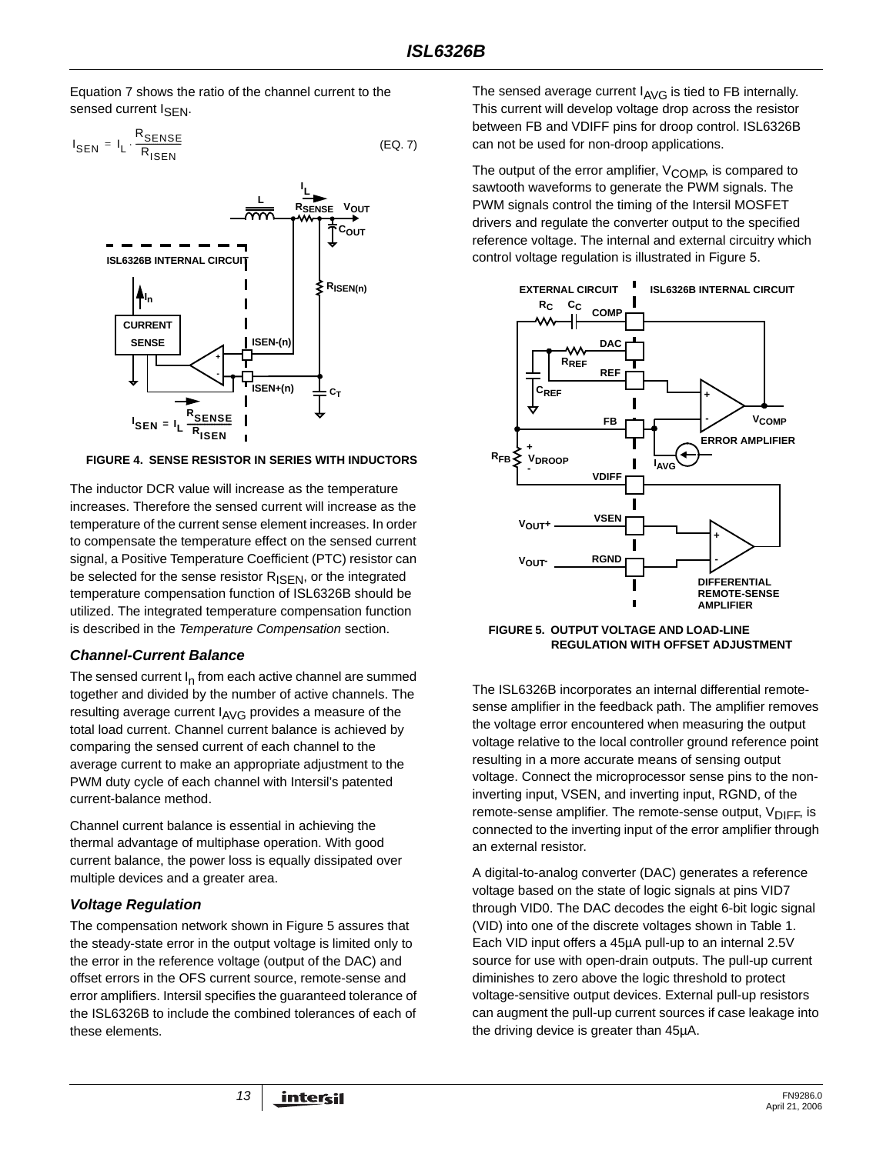Equation 7 shows the ratio of the channel current to the sensed current I<sub>SFN</sub>.

$$
I_{\text{SEN}} = I_{\text{L}} \cdot \frac{R_{\text{SENSE}}}{R_{\text{ISBN}}}
$$
 (EQ. 7)



**FIGURE 4. SENSE RESISTOR IN SERIES WITH INDUCTORS**

The inductor DCR value will increase as the temperature increases. Therefore the sensed current will increase as the temperature of the current sense element increases. In order to compensate the temperature effect on the sensed current signal, a Positive Temperature Coefficient (PTC) resistor can be selected for the sense resistor R<sub>ISEN</sub>, or the integrated temperature compensation function of ISL6326B should be utilized. The integrated temperature compensation function is described in the *Temperature Compensation* section.

# *Channel-Current Balance*

The sensed current  $I_n$  from each active channel are summed together and divided by the number of active channels. The resulting average current  $I_{AVG}$  provides a measure of the total load current. Channel current balance is achieved by comparing the sensed current of each channel to the average current to make an appropriate adjustment to the PWM duty cycle of each channel with Intersil's patented current-balance method.

Channel current balance is essential in achieving the thermal advantage of multiphase operation. With good current balance, the power loss is equally dissipated over multiple devices and a greater area.

# *Voltage Regulation*

The compensation network shown in Figure 5 assures that the steady-state error in the output voltage is limited only to the error in the reference voltage (output of the DAC) and offset errors in the OFS current source, remote-sense and error amplifiers. Intersil specifies the guaranteed tolerance of the ISL6326B to include the combined tolerances of each of these elements.

The sensed average current  $I_{\text{AVG}}$  is tied to FB internally. This current will develop voltage drop across the resistor between FB and VDIFF pins for droop control. ISL6326B can not be used for non-droop applications.

The output of the error amplifier, V<sub>COMP</sub>, is compared to sawtooth waveforms to generate the PWM signals. The PWM signals control the timing of the Intersil MOSFET drivers and regulate the converter output to the specified reference voltage. The internal and external circuitry which control voltage regulation is illustrated in Figure 5.



**FIGURE 5. OUTPUT VOLTAGE AND LOAD-LINE REGULATION WITH OFFSET ADJUSTMENT**

The ISL6326B incorporates an internal differential remotesense amplifier in the feedback path. The amplifier removes the voltage error encountered when measuring the output voltage relative to the local controller ground reference point resulting in a more accurate means of sensing output voltage. Connect the microprocessor sense pins to the noninverting input, VSEN, and inverting input, RGND, of the remote-sense amplifier. The remote-sense output, V<sub>DIFF</sub>, is connected to the inverting input of the error amplifier through an external resistor.

A digital-to-analog converter (DAC) generates a reference voltage based on the state of logic signals at pins VID7 through VID0. The DAC decodes the eight 6-bit logic signal (VID) into one of the discrete voltages shown in Table 1. Each VID input offers a 45µA pull-up to an internal 2.5V source for use with open-drain outputs. The pull-up current diminishes to zero above the logic threshold to protect voltage-sensitive output devices. External pull-up resistors can augment the pull-up current sources if case leakage into the driving device is greater than 45µA.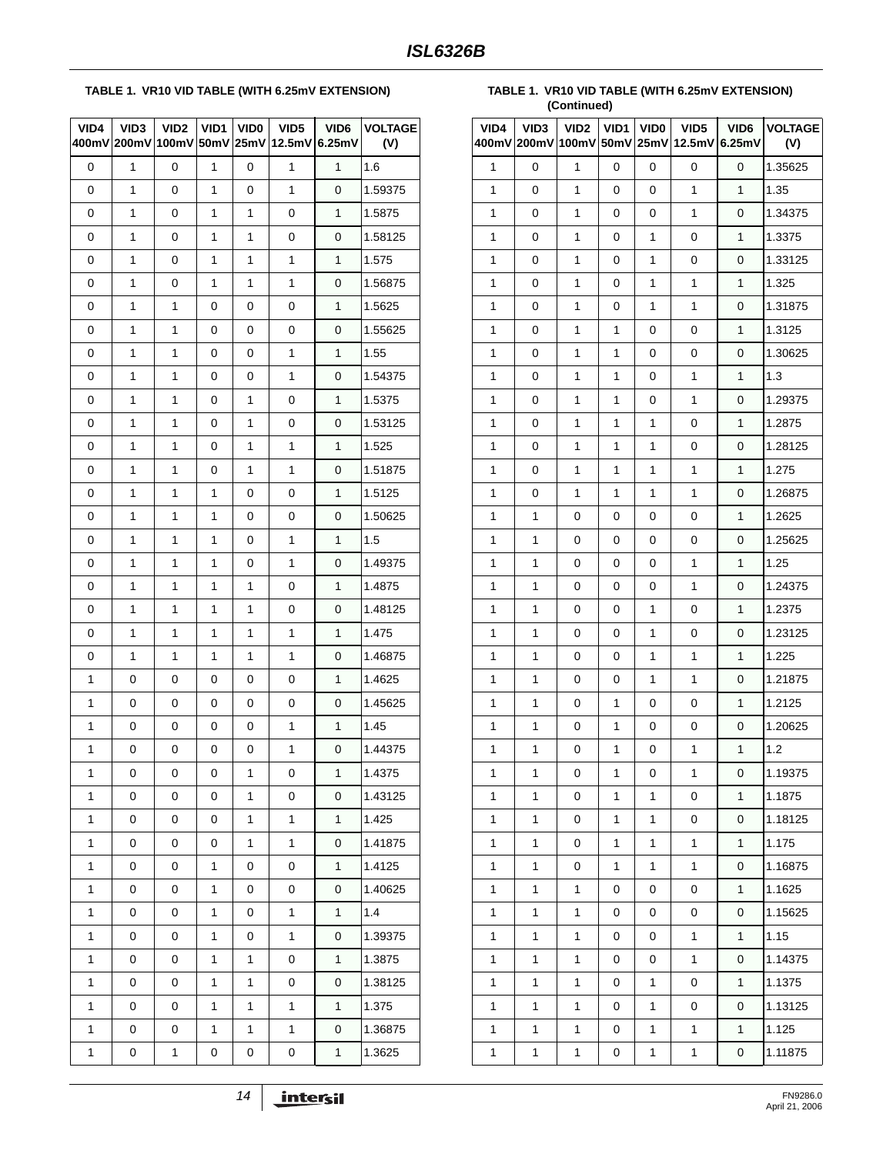### **TABLE 1. VR10 VID TABLE (WITH 6.25mV EXTENSION)**

| VID4<br>400mV | VID <sub>3</sub><br>200mV | VID2<br>100mV | VID1<br>50mV | <b>VIDO</b><br>25mV | VID <sub>5</sub><br>12.5mV | VID <sub>6</sub><br>6.25mV | <b>VOLTAGE</b><br>(V) |
|---------------|---------------------------|---------------|--------------|---------------------|----------------------------|----------------------------|-----------------------|
| 0             | 1                         | 0             | 1            | 0                   | $\mathbf{1}$               | 1                          | 1.6                   |
| 0             | 1                         | 0             | 1            | 0                   | 1                          | 0                          | 1.59375               |
| 0             | 1                         | 0             | 1            | 1                   | 0                          | $\mathbf{1}$               | 1.5875                |
| 0             | 1                         | 0             | 1            | 1                   | 0                          | 0                          | 1.58125               |
| 0             | 1                         | 0             | 1            | 1                   | 1                          | 1                          | 1.575                 |
| 0             | 1                         | 0             | 1            | 1                   | $\mathbf{1}$               | 0                          | 1.56875               |
| 0             | 1                         | 1             | 0            | 0                   | 0                          | 1                          | 1.5625                |
| 0             | $\mathbf{1}$              | 1             | 0            | 0                   | 0                          | 0                          | 1.55625               |
| 0             | 1                         | 1             | 0            | 0                   | $\mathbf{1}$               | $\mathbf{1}$               | 1.55                  |
| 0             | 1                         | 1             | 0            | 0                   | 1                          | 0                          | 1.54375               |
| 0             | 1                         | 1             | 0            | 1                   | 0                          | 1                          | 1.5375                |
| 0             | 1                         | 1             | 0            | 1                   | 0                          | 0                          | 1.53125               |
| 0             | 1                         | 1             | 0            | 1                   | 1                          | 1                          | 1.525                 |
| 0             | 1                         | 1             | 0            | 1                   | 1                          | 0                          | 1.51875               |
| 0             | 1                         | 1             | 1            | 0                   | 0                          | $\mathbf{1}$               | 1.5125                |
| 0             | 1                         | 1             | 1            | 0                   | 0                          | 0                          | 1.50625               |
| 0             | 1                         | 1             | 1            | 0                   | 1                          | 1                          | 1.5                   |
| 0             | 1                         | 1             | 1            | 0                   | $\mathbf{1}$               | 0                          | 1.49375               |
| 0             | 1                         | 1             | 1            | 1                   | 0                          | 1                          | 1.4875                |
| 0             | 1                         | 1             | 1            | 1                   | 0                          | 0                          | 1.48125               |
| 0             | 1                         | 1             | 1            | 1                   | $\mathbf{1}$               | $\mathbf{1}$               | 1.475                 |
| 0             | 1                         | 1             | 1            | 1                   | 1                          | 0                          | 1.46875               |
| 1             | 0                         | 0             | 0            | 0                   | 0                          | 1                          | 1.4625                |
| 1             | 0                         | 0             | 0            | 0                   | 0                          | 0                          | 1.45625               |
| 1             | 0                         | 0             | 0            | 0                   | 1                          | $\mathbf{1}$               | 1.45                  |
| $\mathbf{1}$  | 0                         | 0             | 0            | 0                   | $\mathbf{1}$               | 0                          | 1.44375               |
| 1             | 0                         | 0             | 0            | 1                   | 0                          | 1                          | 1.4375                |
| 1             | 0                         | 0             | 0            | 1                   | 0                          | 0                          | 1.43125               |
| 1             | 0                         | 0             | 0            | 1                   | 1                          | 1                          | 1.425                 |
| 1             | 0                         | 0             | 0            | 1                   | $\mathbf{1}$               | 0                          | 1.41875               |
| 1             | 0                         | 0             | 1            | 0                   | 0                          | $\mathbf{1}$               | 1.4125                |
| 1             | 0                         | 0             | 1            | 0                   | 0                          | 0                          | 1.40625               |
| 1             | 0                         | 0             | 1            | 0                   | $\mathbf{1}$               | $\mathbf{1}$               | 1.4                   |
| 1             | 0                         | 0             | 1            | 0                   | 1                          | 0                          | 1.39375               |
| 1             | 0                         | 0             | 1            | 1                   | 0                          | 1                          | 1.3875                |
| 1             | 0                         | 0             | 1            | 1                   | 0                          | 0                          | 1.38125               |
| 1             | 0                         | 0             | 1            | 1                   | 1                          | $\mathbf{1}$               | 1.375                 |
| 1             | 0                         | 0             | 1            | 1                   | 1                          | 0                          | 1.36875               |
| 1             | 0                         | 1             | 0            | 0                   | 0                          | 1                          | 1.3625                |

**TABLE 1. VR10 VID TABLE (WITH 6.25mV EXTENSION) (Continued)**

| VID4 | VID <sub>3</sub><br>400mV 200mV 100mV | VID <sub>2</sub> | VID1<br>50mV | <b>VIDO</b> | VID <sub>5</sub><br>25mV 12.5mV | VID <sub>6</sub><br>6.25mV | <b>VOLTAGE</b><br>(V) |
|------|---------------------------------------|------------------|--------------|-------------|---------------------------------|----------------------------|-----------------------|
| 1    | 0                                     | 1                | 0            | 0           | 0                               | 0                          | 1.35625               |
| 1    | 0                                     | 1                | 0            | 0           | 1                               | 1                          | 1.35                  |
| 1    | 0                                     | 1                | 0            | 0           | 1                               | 0                          | 1.34375               |
| 1    | 0                                     | 1                | 0            | 1           | 0                               | $\mathbf{1}$               | 1.3375                |
| 1    | 0                                     | 1                | 0            | 1           | 0                               | 0                          | 1.33125               |
| 1    | 0                                     | 1                | 0            | 1           | 1                               | 1                          | 1.325                 |
| 1    | 0                                     | 1                | 0            | 1           | 1                               | 0                          | 1.31875               |
| 1    | 0                                     | 1                | 1            | 0           | 0                               | 1                          | 1.3125                |
| 1    | 0                                     | 1                | 1            | 0           | 0                               | 0                          | 1.30625               |
| 1    | 0                                     | 1                | 1            | 0           | 1                               | $\mathbf{1}$               | 1.3                   |
| 1    | 0                                     | 1                | 1            | 0           | 1                               | 0                          | 1.29375               |
| 1    | 0                                     | 1                | 1            | 1           | 0                               | 1                          | 1.2875                |
| 1    | 0                                     | 1                | 1            | 1           | 0                               | 0                          | 1.28125               |
| 1    | 0                                     | 1                | 1            | 1           | 1                               | 1                          | 1.275                 |
| 1    | 0                                     | 1                | 1            | 1           | 1                               | 0                          | 1.26875               |
| 1    | 1                                     | 0                | 0            | 0           | 0                               | $\mathbf{1}$               | 1.2625                |
| 1    | 1                                     | 0                | 0            | 0           | 0                               | 0                          | 1.25625               |
| 1    | 1                                     | 0                | 0            | 0           | 1                               | 1                          | 1.25                  |
| 1    | 1                                     | 0                | 0            | 0           | 1                               | 0                          | 1.24375               |
| 1    | 1                                     | 0                | 0            | 1           | 0                               | 1                          | 1.2375                |
| 1    | 1                                     | 0                | 0            | 1           | 0                               | 0                          | 1.23125               |
| 1    | 1                                     | 0                | 0            | 1           | 1                               | $\mathbf{1}$               | 1.225                 |
| 1    | 1                                     | 0                | 0            | 1           | 1                               | 0                          | 1.21875               |
| 1    | 1                                     | 0                | 1            | 0           | 0                               | 1                          | 1.2125                |
| 1    | 1                                     | 0                | 1            | 0           | 0                               | 0                          | 1.20625               |
| 1    | 1                                     | 0                | 1            | 0           | 1                               | 1                          | 1.2                   |
| 1    | 1                                     | 0                | 1            | 0           | 1                               | 0                          | 1.19375               |
| 1    | 1                                     | 0                | 1            | 1           | 0                               | 1                          | 1.1875                |
| 1    | 1                                     | 0                | 1            | 1           | 0                               | 0                          | 1.18125               |
| 1    | 1                                     | 0                | 1            | 1           | 1                               | 1                          | 1.175                 |
| 1    | 1                                     | 0                | 1            | 1           | 1                               | 0                          | 1.16875               |
| 1    | 1                                     | 1                | 0            | 0           | 0                               | 1                          | 1.1625                |
| 1    | 1                                     | 1                | 0            | 0           | 0                               | 0                          | 1.15625               |
| 1    | 1                                     | 1                | 0            | 0           | 1                               | 1                          | 1.15                  |
| 1    | 1                                     | 1                | 0            | 0           | 1                               | 0                          | 1.14375               |
| 1    | 1                                     | 1                | 0            | 1           | 0                               | 1                          | 1.1375                |
| 1    | 1                                     | 1                | 0            | 1           | 0                               | 0                          | 1.13125               |
| 1    | 1                                     | 1                | 0            | 1           | 1                               | 1                          | 1.125                 |
| 1    | 1                                     | 1                | 0            | 1           | 1                               | 0                          | 1.11875               |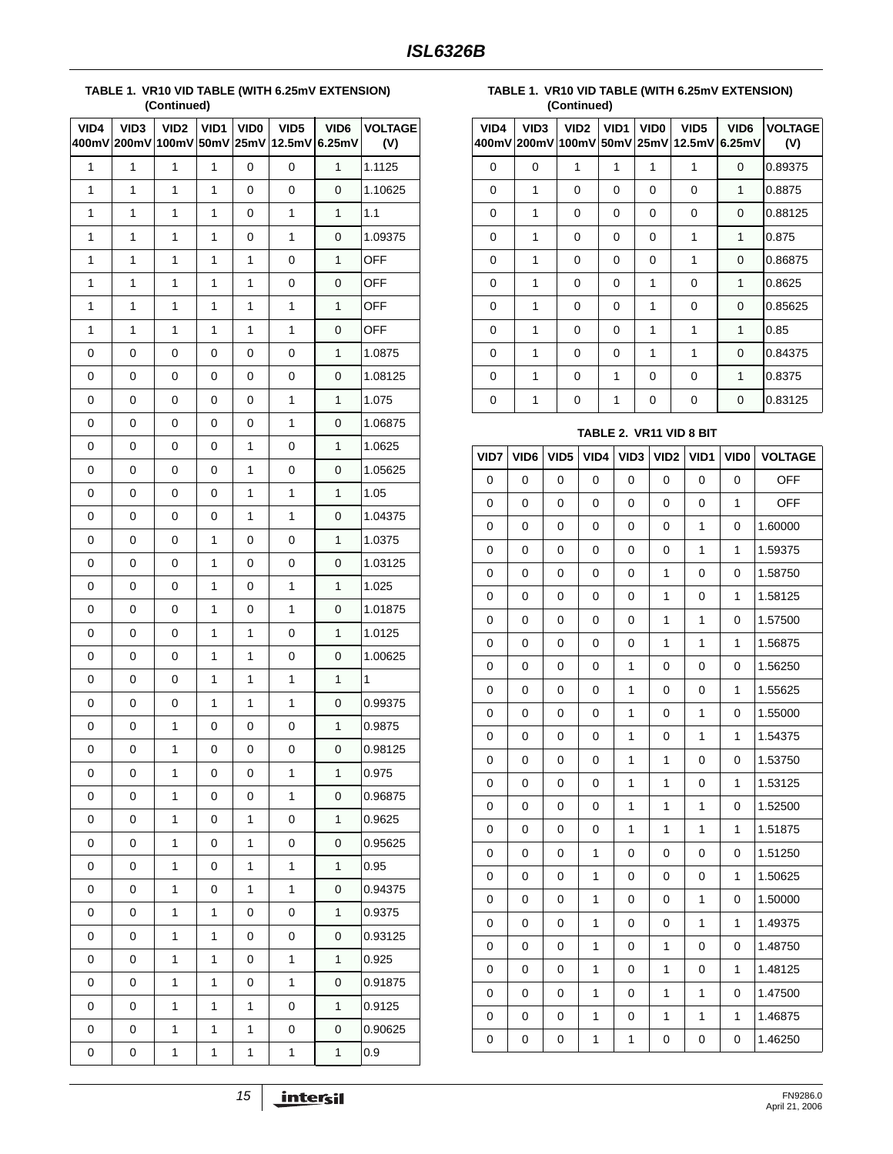#### **TABLE 1. VR10 VID TABLE (WITH 6.25mV EXTENSION) (Continued)**

| VID4 | VID <sub>3</sub> | VID <sub>2</sub><br>400mV 200mV 100mV | VID1<br>50mV | VID <sub>0</sub><br>25mV | VID <sub>5</sub><br>12.5mV | VID6<br>6.25mV | <b>VOLTAGE</b><br>(V) |
|------|------------------|---------------------------------------|--------------|--------------------------|----------------------------|----------------|-----------------------|
| 1    | 1                | 1                                     | 1            | 0                        | 0                          | 1              | 1.1125                |
| 1    | $\mathbf{1}$     | 1                                     | 1            | 0                        | 0                          | 0              | 1.10625               |
| 1    | 1                | 1                                     | 1            | 0                        | 1                          | 1              | 1.1                   |
| 1    | $\mathbf{1}$     | 1                                     | 1            | 0                        | 1                          | 0              | 1.09375               |
| 1    | 1                | 1                                     | 1            | 1                        | 0                          | 1              | <b>OFF</b>            |
| 1    | 1                | 1                                     | 1            | 1                        | 0                          | 0              | <b>OFF</b>            |
| 1    | $\mathbf{1}$     | 1                                     | 1            | 1                        | $\mathbf{1}$               | $\mathbf{1}$   | <b>OFF</b>            |
| 1    | $\mathbf{1}$     | 1                                     | 1            | 1                        | $\mathbf{1}$               | 0              | <b>OFF</b>            |
| 0    | 0                | 0                                     | 0            | 0                        | 0                          | 1              | 1.0875                |
| 0    | 0                | 0                                     | 0            | 0                        | 0                          | 0              | 1.08125               |
| 0    | 0                | 0                                     | 0            | 0                        | 1                          | 1              | 1.075                 |
| 0    | 0                | 0                                     | 0            | 0                        | 1                          | 0              | 1.06875               |
| 0    | 0                | 0                                     | 0            | 1                        | 0                          | $\mathbf{1}$   | 1.0625                |
| 0    | 0                | 0                                     | 0            | 1                        | 0                          | 0              | 1.05625               |
| 0    | 0                | 0                                     | 0            | 1                        | $\mathbf{1}$               | 1              | 1.05                  |
| 0    | 0                | 0                                     | 0            | 1                        | $\mathbf{1}$               | 0              | 1.04375               |
| 0    | 0                | 0                                     | 1            | 0                        | 0                          | 1              | 1.0375                |
| 0    | 0                | 0                                     | 1            | 0                        | 0                          | 0              | 1.03125               |
| 0    | 0                | 0                                     | 1            | 0                        | $\mathbf{1}$               | $\mathbf{1}$   | 1.025                 |
| 0    | 0                | 0                                     | 1            | 0                        | $\mathbf{1}$               | 0              | 1.01875               |
| 0    | 0                | 0                                     | 1            | 1                        | 0                          | 1              | 1.0125                |
| 0    | 0                | 0                                     | 1            | 1                        | 0                          | 0              | 1.00625               |
| 0    | 0                | 0                                     | 1            | 1                        | 1                          | 1              | 1                     |
| 0    | 0                | 0                                     | 1            | 1                        | 1                          | 0              | 0.99375               |
| 0    | 0                | 1                                     | 0            | 0                        | 0                          | $\mathbf{1}$   | 0.9875                |
| 0    | 0                | 1                                     | 0            | 0                        | 0                          | 0              | 0.98125               |
| 0    | 0                | 1                                     | $\pmb{0}$    | $\mathbf 0$              | 1                          | 1              | 0.975                 |
| 0    | 0                | 1                                     | 0            | 0                        | $\mathbf{1}$               | 0              | 0.96875               |
| 0    | 0                | 1                                     | 0            | 1                        | 0                          | $\mathbf{1}$   | 0.9625                |
| 0    | 0                | 1                                     | 0            | 1                        | 0                          | 0              | 0.95625               |
| 0    | 0                | 1                                     | 0            | 1                        | $\mathbf{1}$               | $\mathbf{1}$   | 0.95                  |
| 0    | 0                | 1                                     | 0            | 1                        | $\mathbf 1$                | 0              | 0.94375               |
| 0    | 0                | 1                                     | 1            | 0                        | 0                          | $\mathbf{1}$   | 0.9375                |
| 0    | 0                | 1                                     | 1            | 0                        | 0                          | 0              | 0.93125               |
| 0    | 0                | 1                                     | $\mathbf{1}$ | 0                        | 1                          | $\mathbf{1}$   | 0.925                 |
| 0    | 0                | 1                                     | 1            | 0                        | $\mathbf{1}$               | 0              | 0.91875               |
| 0    | 0                | 1                                     | 1            | 1                        | 0                          | $\mathbf{1}$   | 0.9125                |
| 0    | 0                | 1                                     | $\mathbf{1}$ | 1                        | 0                          | 0              | 0.90625               |
| 0    | 0                | 1                                     | $\mathbf{1}$ | $\mathbf{1}$             | $\mathbf{1}$               | $\mathbf 1$    | 0.9                   |

**TABLE 1. VR10 VID TABLE (WITH 6.25mV EXTENSION) (Continued)**

| VID4 | VID <sub>3</sub><br>400mV 200mV 100mV | VID <sub>2</sub> | VID <sub>1</sub> | VID <sub>0</sub> | VID <sub>5</sub><br>50mV 25mV 12.5mV | VID <sub>6</sub><br>6.25mV | <b>VOLTAGE</b><br>(V) |
|------|---------------------------------------|------------------|------------------|------------------|--------------------------------------|----------------------------|-----------------------|
| 0    | 0                                     | 1                | 1                | 1                | 1                                    | $\Omega$                   | 0.89375               |
| 0    | 1                                     | 0                | 0                | 0                | $\Omega$                             | 1                          | 0.8875                |
| 0    | 1                                     | 0                | 0                | 0                | 0                                    | 0                          | 0.88125               |
| 0    | 1                                     | 0                | 0                | 0                | 1                                    | 1                          | 0.875                 |
| 0    | 1                                     | 0                | 0                | 0                | 1                                    | 0                          | 0.86875               |
| 0    | 1                                     | 0                | 0                | 1                | 0                                    | 1                          | 0.8625                |
| 0    | 1                                     | 0                | 0                | 1                | 0                                    | 0                          | 0.85625               |
| 0    | 1                                     | 0                | 0                | 1                | 1                                    | 1                          | 0.85                  |
| 0    | 1                                     | 0                | 0                | 1                | 1                                    | 0                          | 0.84375               |
| 0    | 1                                     | 0                | 1                | 0                | 0                                    | 1                          | 0.8375                |
| 0    |                                       | 0                | 1                | 0                | 0                                    | 0                          | 0.83125               |

### **TABLE 2. VR11 VID 8 BIT**

| VID7        | VID6     | VID <sub>5</sub> | VID4         | VID <sub>3</sub> | VID <sub>2</sub> | VID1         | VID <sub>0</sub> | <b>VOLTAGE</b> |
|-------------|----------|------------------|--------------|------------------|------------------|--------------|------------------|----------------|
| 0           | 0        | 0                | 0            | 0                | 0                | 0            | 0                | <b>OFF</b>     |
| 0           | 0        | 0                | 0            | 0                | 0                | 0            | 1                | <b>OFF</b>     |
| $\mathbf 0$ | 0        | 0                | 0            | 0                | $\mathbf 0$      | $\mathbf{1}$ | $\mathbf 0$      | 1.60000        |
| 0           | 0        | 0                | 0            | 0                | 0                | $\mathbf{1}$ | 1                | 1.59375        |
| 0           | 0        | 0                | 0            | 0                | 1                | 0            | 0                | 1.58750        |
| 0           | 0        | 0                | 0            | 0                | $\mathbf{1}$     | 0            | 1                | 1.58125        |
| 0           | 0        | 0                | 0            | 0                | 1                | 1            | 0                | 1.57500        |
| 0           | 0        | 0                | 0            | 0                | 1                | 1            | 1                | 1.56875        |
| $\mathbf 0$ | 0        | 0                | 0            | 1                | 0                | 0            | 0                | 1.56250        |
| 0           | 0        | 0                | 0            | 1                | 0                | 0            | 1                | 1.55625        |
| 0           | 0        | 0                | 0            | 1                | 0                | 1            | 0                | 1.55000        |
| 0           | 0        | 0                | 0            | 1                | 0                | 1            | 1                | 1.54375        |
| 0           | 0        | 0                | 0            | 1                | $\mathbf{1}$     | 0            | 0                | 1.53750        |
| 0           | $\Omega$ | $\Omega$         | 0            | 1                | 1                | $\Omega$     | 1                | 1.53125        |
| 0           | 0        | 0                | 0            | 1                | $\mathbf{1}$     | $\mathbf{1}$ | 0                | 1.52500        |
| 0           | 0        | 0                | 0            | 1                | $\mathbf{1}$     | 1            | 1                | 1.51875        |
| 0           | 0        | 0                | 1            | 0                | 0                | 0            | 0                | 1.51250        |
| 0           | 0        | 0                | 1            | 0                | 0                | 0            | 1                | 1.50625        |
| 0           | 0        | 0                | $\mathbf{1}$ | 0                | 0                | $\mathbf{1}$ | 0                | 1.50000        |
| 0           | 0        | 0                | $\mathbf{1}$ | 0                | 0                | 1            | 1                | 1.49375        |
| 0           | 0        | 0                | 1            | 0                | $\mathbf{1}$     | 0            | 0                | 1.48750        |
| 0           | 0        | 0                | $\mathbf{1}$ | 0                | $\mathbf{1}$     | 0            | 1                | 1.48125        |
| 0           | 0        | 0                | 1            | 0                | 1                | 1            | 0                | 1.47500        |
| 0           | 0        | 0                | 1            | 0                | 1                | 1            | 1                | 1.46875        |
| 0           | 0        | 0                | 1            | 1                | 0                | 0            | 0                | 1.46250        |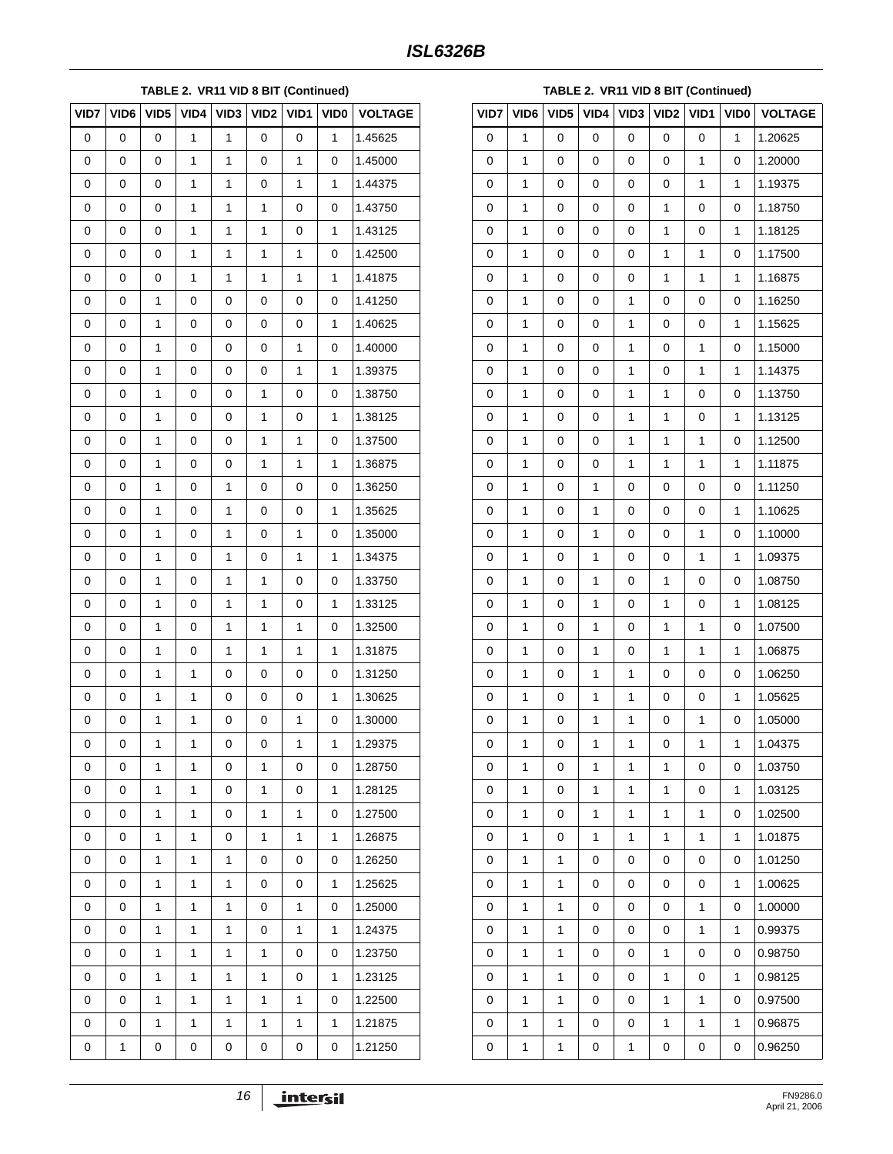### **TABLE 2. VR11 VID 8 BIT (Continued)**

| VID7 | VID <sub>6</sub> | VID <sub>5</sub> | VID4 | VID <sub>3</sub> | VID <sub>2</sub> | VID1 | <b>VIDO</b> | <b>VOLTAGE</b> |
|------|------------------|------------------|------|------------------|------------------|------|-------------|----------------|
| 0    | 0                | 0                | 1    | 1                | 0                | 0    | 1           | 1.45625        |
| 0    | 0                | 0                | 1    | $\mathbf{1}$     | 0                | 1    | 0           | 1.45000        |
| 0    | 0                | 0                | 1    | 1                | 0                | 1    | 1           | 1.44375        |
| 0    | 0                | 0                | 1    | 1                | 1                | 0    | 0           | 1.43750        |
| 0    | 0                | 0                | 1    | $\mathbf{1}$     | 1                | 0    | 1           | 1.43125        |
| 0    | 0                | 0                | 1    | 1                | 1                | 1    | 0           | 1.42500        |
| 0    | 0                | 0                | 1    | 1                | 1                | 1    | 1           | 1.41875        |
| 0    | 0                | 1                | 0    | 0                | 0                | 0    | 0           | 1.41250        |
| 0    | 0                | 1                | 0    | 0                | 0                | 0    | 1           | 1.40625        |
| 0    | 0                | 1                | 0    | 0                | 0                | 1    | 0           | 1.40000        |
| 0    | 0                | 1                | 0    | 0                | 0                | 1    | 1           | 1.39375        |
| 0    | 0                | 1                | 0    | 0                | 1                | 0    | 0           | 1.38750        |
| 0    | 0                | 1                | 0    | 0                | 1                | 0    | 1           | 1.38125        |
| 0    | 0                | 1                | 0    | 0                | 1                | 1    | 0           | 1.37500        |
| 0    | 0                | 1                | 0    | 0                | 1                | 1    | 1           | 1.36875        |
| 0    | 0                | 1                | 0    | 1                | 0                | 0    | 0           | 1.36250        |
| 0    | 0                | 1                | 0    | $\mathbf{1}$     | 0                | 0    | 1           | 1.35625        |
| 0    | 0                | 1                | 0    | 1                | 0                | 1    | 0           | 1.35000        |
| 0    | 0                | 1                | 0    | 1                | 0                | 1    | 1           | 1.34375        |
| 0    | 0                | 1                | 0    | $\mathbf{1}$     | 1                | 0    | 0           | 1.33750        |
| 0    | 0                | 1                | 0    | 1                | 1                | 0    | 1           | 1.33125        |
| 0    | 0                | 1                | 0    | 1                | 1                | 1    | 0           | 1.32500        |
| 0    | 0                | 1                | 0    | $\mathbf{1}$     | 1                | 1    | 1           | 1.31875        |
| 0    | 0                | 1                | 1    | 0                | 0                | 0    | 0           | 1.31250        |
| 0    | 0                | 1                | 1    | 0                | 0                | 0    | 1           | 1.30625        |
| 0    | 0                | 1                | 1    | 0                | 0                | 1    | 0           | 1.30000        |
| 0    | 0                | 1                | 1    | 0                | 0                | 1    | 1           | 1.29375        |
| 0    | 0                | 1                | 1    | 0                | 1                | 0    | 0           | 1.28750        |
| 0    | 0                | 1                | 1    | 0                | 1                | 0    | 1           | 1.28125        |
| 0    | 0                | 1                | 1    | 0                | 1                | 1    | 0           | 1.27500        |
| 0    | 0                | 1                | 1    | 0                | 1                | 1    | 1           | 1.26875        |
| 0    | 0                | 1                | 1    | 1                | 0                | 0    | 0           | 1.26250        |
| 0    | 0                | 1                | 1    | 1                | 0                | 0    | 1           | 1.25625        |
| 0    | 0                | 1                | 1    | 1                | 0                | 1    | 0           | 1.25000        |
| 0    | 0                | 1                | 1    | 1                | 0                | 1    | 1           | 1.24375        |
| 0    | 0                | 1                | 1    | 1                | 1                | 0    | 0           | 1.23750        |
| 0    | 0                | 1                | 1    | 1                | 1                | 0    | 1           | 1.23125        |
| 0    | 0                | 1                | 1    | 1                | 1                | 1    | 0           | 1.22500        |
| 0    | 0                | 1                | 1    | 1                | 1                | 1    | 1           | 1.21875        |
| 0    | 1                | 0                | 0    | 0                | 0                | 0    | 0           | 1.21250        |

|      | TABLE 2. VR11 VID 8 BIT (Continued) |                  |      |                  |                  |      |             |                |  |
|------|-------------------------------------|------------------|------|------------------|------------------|------|-------------|----------------|--|
| VID7 | VID <sub>6</sub>                    | VID <sub>5</sub> | VID4 | VID <sub>3</sub> | VID <sub>2</sub> | VID1 | <b>VIDO</b> | <b>VOLTAGE</b> |  |
| 0    | 1                                   | 0                | 0    | 0                | 0                | 0    | 1           | 1.20625        |  |
| 0    | 1                                   | 0                | 0    | 0                | 0                | 1    | 0           | 1.20000        |  |
| 0    | 1                                   | 0                | 0    | 0                | 0                | 1    | 1           | 1.19375        |  |
| 0    | 1                                   | 0                | 0    | 0                | 1                | 0    | 0           | 1.18750        |  |
| 0    | 1                                   | 0                | 0    | 0                | 1                | 0    | 1           | 1.18125        |  |
| 0    | 1                                   | 0                | 0    | 0                | 1                | 1    | 0           | 1.17500        |  |
| 0    | 1                                   | 0                | 0    | 0                | 1                | 1    | 1           | 1.16875        |  |
| 0    | 1                                   | 0                | 0    | 1                | 0                | 0    | 0           | 1.16250        |  |
| 0    | 1                                   | 0                | 0    | 1                | 0                | 0    | 1           | 1.15625        |  |
| 0    | 1                                   | 0                | 0    | $\mathbf{1}$     | 0                | 1    | 0           | 1.15000        |  |
| 0    | 1                                   | 0                | 0    | 1                | 0                | 1    | 1           | 1.14375        |  |
| 0    | 1                                   | 0                | 0    | 1                | 1                | 0    | 0           | 1.13750        |  |
| 0    | 1                                   | 0                | 0    | 1                | 1                | 0    | 1           | 1.13125        |  |
| 0    | 1                                   | 0                | 0    | 1                | 1                | 1    | 0           | 1.12500        |  |
| 0    | 1                                   | 0                | 0    | 1                | 1                | 1    | 1           | 1.11875        |  |
| 0    | 1                                   | 0                | 1    | 0                | 0                | 0    | 0           | 1.11250        |  |
| 0    | 1                                   | 0                | 1    | 0                | 0                | 0    | 1           | 1.10625        |  |
| 0    | 1                                   | 0                | 1    | 0                | 0                | 1    | 0           | 1.10000        |  |
| 0    | 1                                   | 0                | 1    | 0                | 0                | 1    | 1           | 1.09375        |  |
| 0    | 1                                   | 0                | 1    | 0                | 1                | 0    | 0           | 1.08750        |  |
| 0    | 1                                   | 0                | 1    | 0                | 1                | 0    | 1           | 1.08125        |  |
| 0    | 1                                   | 0                | 1    | 0                | 1                | 1    | 0           | 1.07500        |  |
| 0    | 1                                   | 0                | 1    | 0                | 1                | 1    | 1           | 1.06875        |  |
| 0    | 1                                   | 0                | 1    | 1                | 0                | 0    | 0           | 1.06250        |  |
| 0    | 1                                   | 0                | 1    | $\mathbf{1}$     | 0                | 0    | 1           | 1.05625        |  |
| 0    | 1                                   | 0                | 1    | 1                | 0                | 1    | 0           | 1.05000        |  |
| 0    | 1                                   | 0                | 1    | 1                | 0                | 1    | 1           | 1.04375        |  |
| 0    | 1                                   | 0                | 1    | 1                | 1                | 0    | 0           | 1.03750        |  |
| 0    | 1                                   | 0                | 1    | 1                | 1                | 0    | 1           | 1.03125        |  |
| 0    | 1                                   | 0                | 1    | 1                | 1                | 1    | 0           | 1.02500        |  |
| 0    | 1                                   | 0                | 1    | 1                | 1                | 1    | 1           | 1.01875        |  |
| 0    | 1                                   | 1                | 0    | 0                | 0                | 0    | 0           | 1.01250        |  |
| 0    | 1                                   | 1                | 0    | 0                | 0                | 0    | 1           | 1.00625        |  |
| 0    | 1                                   | 1                | 0    | 0                | 0                | 1    | 0           | 1.00000        |  |
| 0    | 1                                   | 1                | 0    | 0                | 0                | 1    | 1           | 0.99375        |  |
| 0    | 1                                   | 1                | 0    | 0                | 1                | 0    | 0           | 0.98750        |  |
| 0    | 1                                   | 1                | 0    | 0                | 1                | 0    | 1           | 0.98125        |  |
| 0    | 1                                   | 1                | 0    | 0                | 1                | 1    | 0           | 0.97500        |  |
| 0    | 1                                   | 1                | 0    | 0                | 1                | 1    | 1           | 0.96875        |  |
| 0    | 1                                   | 1                | 0    | 1                | 0                | 0    | 0           | 0.96250        |  |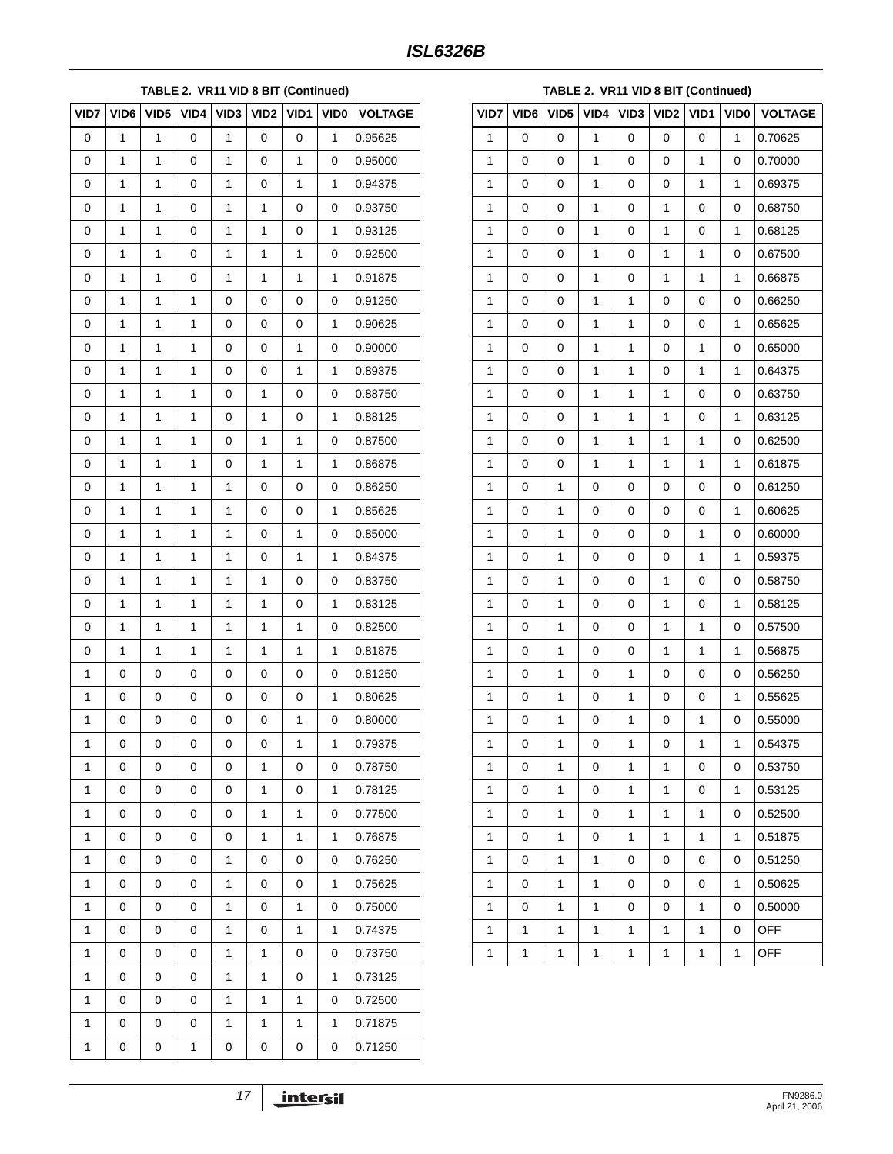### **TABLE 2. VR11 VID 8 BIT (Continued)**

| VID7         | VID <sub>6</sub> | VID <sub>5</sub> | VID4 | VID <sub>3</sub> | VID <sub>2</sub> | VID1 | VID <sub>0</sub> | <b>VOLTAGE</b> |
|--------------|------------------|------------------|------|------------------|------------------|------|------------------|----------------|
| 0            | 1                | 1                | 0    | 1                | 0                | 0    | 1                | 0.95625        |
| 0            | 1                | 1                | 0    | 1                | 0                | 1    | 0                | 0.95000        |
| 0            | 1                | 1                | 0    | 1                | 0                | 1    | 1                | 0.94375        |
| 0            | 1                | 1                | 0    | 1                | 1                | 0    | 0                | 0.93750        |
| 0            | 1                | 1                | 0    | 1                | 1                | 0    | 1                | 0.93125        |
| 0            | 1                | 1                | 0    | 1                | 1                | 1    | 0                | 0.92500        |
| 0            | 1                | 1                | 0    | 1                | 1                | 1    | $\mathbf{1}$     | 0.91875        |
| 0            | 1                | 1                | 1    | 0                | 0                | 0    | 0                | 0.91250        |
| 0            | 1                | 1                | 1    | 0                | 0                | 0    | 1                | 0.90625        |
| 0            | 1                | 1                | 1    | 0                | 0                | 1    | 0                | 0.90000        |
| 0            | 1                | 1                | 1    | 0                | 0                | 1    | 1                | 0.89375        |
| 0            | 1                | 1                | 1    | 0                | 1                | 0    | 0                | 0.88750        |
| 0            | 1                | 1                | 1    | 0                | 1                | 0    | 1                | 0.88125        |
| 0            | 1                | 1                | 1    | 0                | 1                | 1    | 0                | 0.87500        |
| 0            | 1                | 1                | 1    | 0                | 1                | 1    | 1                | 0.86875        |
| 0            | 1                | 1                | 1    | 1                | 0                | 0    | 0                | 0.86250        |
| 0            | 1                | 1                | 1    | 1                | 0                | 0    | 1                | 0.85625        |
| 0            | 1                | 1                | 1    | 1                | 0                | 1    | 0                | 0.85000        |
| 0            | 1                | 1                | 1    | 1                | 0                | 1    | 1                | 0.84375        |
| 0            | 1                | 1                | 1    | 1                | 1                | 0    | 0                | 0.83750        |
| 0            | 1                | 1                | 1    | 1                | 1                | 0    | 1                | 0.83125        |
| 0            | 1                | 1                | 1    | 1                | 1                | 1    | 0                | 0.82500        |
| 0            | 1                | 1                | 1    | 1                | 1                | 1    | 1                | 0.81875        |
| 1            | 0                | 0                | 0    | 0                | 0                | 0    | 0                | 0.81250        |
| 1            | 0                | 0                | 0    | 0                | 0                | 0    | 1                | 0.80625        |
| 1            | 0                | 0                | 0    | 0                | 0                | 1    | 0                | 0.80000        |
| 1            | 0                | 0                | 0    | 0                | 0                | 1    | 1                | 0.79375        |
| 1            | 0                | 0                | 0    | 0                | 1                | 0    | 0                | 0.78750        |
| 1            | 0                | 0                | 0    | 0                | 1                | 0    | 1                | 0.78125        |
| 1            | 0                | 0                | 0    | 0                | 1                | 1    | 0                | 0.77500        |
| $\mathbf{1}$ | 0                | 0                | 0    | 0                | 1                | 1    | $\mathbf{1}$     | 0.76875        |
| 1            | 0                | 0                | 0    | 1                | 0                | 0    | 0                | 0.76250        |
| 1            | 0                | 0                | 0    | 1                | 0                | 0    | $\mathbf{1}$     | 0.75625        |
| $\mathbf{1}$ | 0                | 0                | 0    | 1                | 0                | 1    | 0                | 0.75000        |
| 1            | 0                | 0                | 0    | 1                | 0                | 1    | 1                | 0.74375        |
| 1            | 0                | 0                | 0    | 1                | 1                | 0    | 0                | 0.73750        |
| $\mathbf{1}$ | 0                | 0                | 0    | 1                | 1                | 0    | $\mathbf{1}$     | 0.73125        |
| 1            | 0                | 0                | 0    | 1                | 1                | 1    | 0                | 0.72500        |
| 1            | 0                | 0                | 0    | 1                | 1                | 1    | 1                | 0.71875        |
| $\mathbf{1}$ | 0                | 0                | 1    | 0                | 0                | 0    | 0                | 0.71250        |

| TABLE 2. VR11 VID 8 BIT (Continued) |      |                  |      |                  |                  |      |             |                |
|-------------------------------------|------|------------------|------|------------------|------------------|------|-------------|----------------|
| VID7                                | VID6 | VID <sub>5</sub> | VID4 | VID <sub>3</sub> | VID <sub>2</sub> | VID1 | <b>VIDO</b> | <b>VOLTAGE</b> |
| 1                                   | 0    | 0                | 1    | 0                | 0                | 0    | 1           | 0.70625        |
| 1                                   | 0    | 0                | 1    | 0                | 0                | 1    | 0           | 0.70000        |
| 1                                   | 0    | 0                | 1    | 0                | 0                | 1    | 1           | 0.69375        |
| 1                                   | 0    | 0                | 1    | 0                | 1                | 0    | 0           | 0.68750        |
| 1                                   | 0    | 0                | 1    | 0                | 1                | 0    | 1           | 0.68125        |
| 1                                   | 0    | 0                | 1    | 0                | 1                | 1    | 0           | 0.67500        |
| 1                                   | 0    | 0                | 1    | 0                | 1                | 1    | 1           | 0.66875        |
| 1                                   | 0    | 0                | 1    | 1                | 0                | 0    | 0           | 0.66250        |
| 1                                   | 0    | 0                | 1    | 1                | 0                | 0    | 1           | 0.65625        |
| 1                                   | 0    | 0                | 1    | 1                | 0                | 1    | 0           | 0.65000        |
| 1                                   | 0    | 0                | 1    | 1                | 0                | 1    | 1           | 0.64375        |
| 1                                   | 0    | 0                | 1    | 1                | 1                | 0    | 0           | 0.63750        |
| 1                                   | 0    | 0                | 1    | 1                | 1                | 0    | 1           | 0.63125        |
| 1                                   | 0    | 0                | 1    | 1                | 1                | 1    | 0           | 0.62500        |
| 1                                   | 0    | 0                | 1    | 1                | 1                | 1    | 1           | 0.61875        |
| 1                                   | 0    | 1                | 0    | 0                | 0                | 0    | 0           | 0.61250        |
| 1                                   | 0    | 1                | 0    | 0                | 0                | 0    | 1           | 0.60625        |
| 1                                   | 0    | 1                | 0    | 0                | 0                | 1    | 0           | 0.60000        |
| 1                                   | 0    | 1                | 0    | 0                | 0                | 1    | 1           | 0.59375        |
| 1                                   | 0    | 1                | 0    | 0                | 1                | 0    | 0           | 0.58750        |
| 1                                   | 0    | 1                | 0    | 0                | 1                | 0    | 1           | 0.58125        |
| 1                                   | 0    | 1                | 0    | 0                | 1                | 1    | 0           | 0.57500        |
| 1                                   | 0    | 1                | 0    | 0                | 1                | 1    | 1           | 0.56875        |
| 1                                   | 0    | 1                | 0    | 1                | 0                | 0    | 0           | 0.56250        |
| 1                                   | 0    | 1                | 0    | 1                | 0                | 0    | 1           | 0.55625        |
| 1                                   | 0    | 1                | 0    | 1                | 0                | 1    | 0           | 0.55000        |
| 1                                   | 0    | 1                | 0    | 1                | 0                | 1    | 1           | 0.54375        |
| $\mathbf{1}$                        | 0    | 1                | 0    | 1                | 1                | 0    | 0           | 0.53750        |
| 1                                   | 0    | 1                | 0    | 1                | 1                | 0    | 1           | 0.53125        |
| 1                                   | 0    | 1                | 0    | 1                | 1                | 1    | 0           | 0.52500        |
| 1                                   | 0    | 1                | 0    | 1                | 1                | 1    | 1           | 0.51875        |
| 1                                   | 0    | 1                | 1    | 0                | 0                | 0    | 0           | 0.51250        |
| 1                                   | 0    | 1                | 1    | 0                | 0                | 0    | 1           | 0.50625        |
| 1                                   | 0    | 1                | 1    | 0                | 0                | 1    | 0           | 0.50000        |
| 1                                   | 1    | 1                | 1    | 1                | 1                | 1    | 0           | <b>OFF</b>     |
| 1                                   | 1    | 1                | 1    | 1                | 1                | 1    | 1           | OFF            |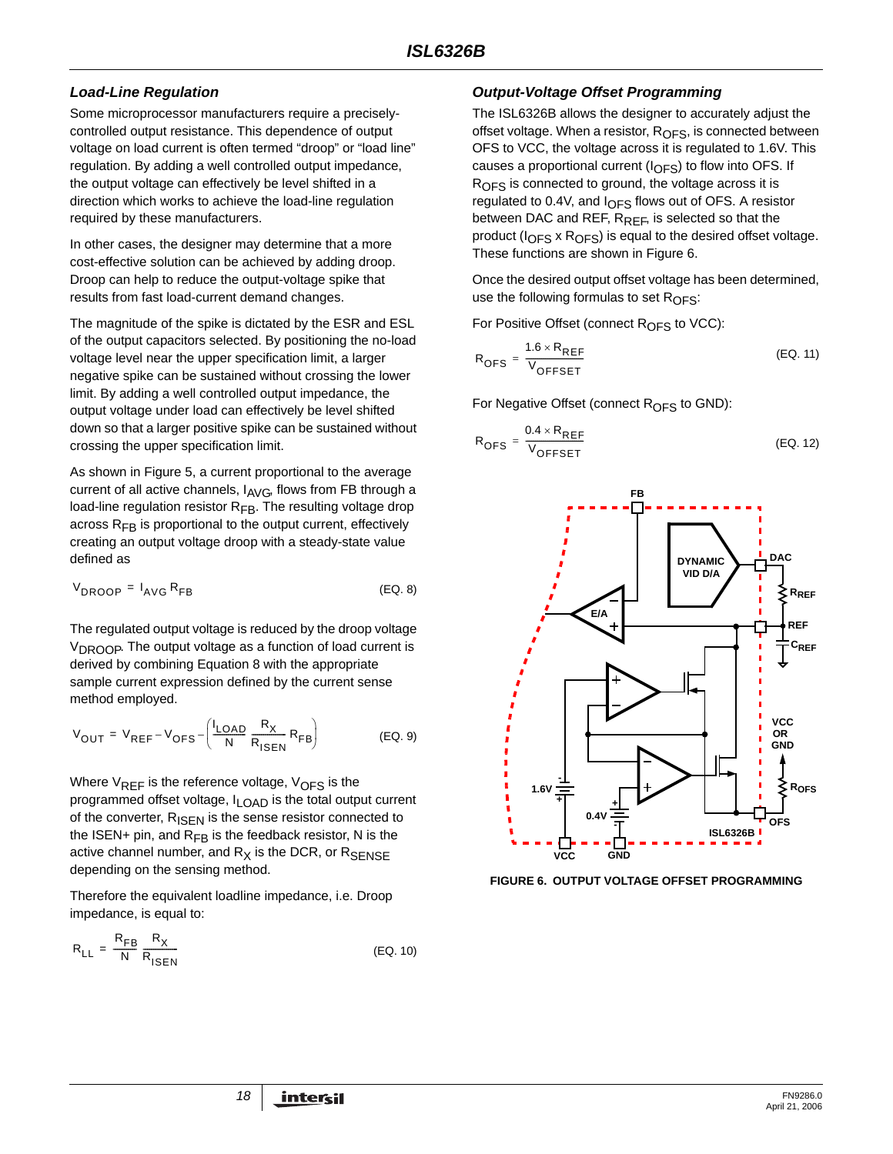# *Load-Line Regulation*

Some microprocessor manufacturers require a preciselycontrolled output resistance. This dependence of output voltage on load current is often termed "droop" or "load line" regulation. By adding a well controlled output impedance, the output voltage can effectively be level shifted in a direction which works to achieve the load-line regulation required by these manufacturers.

In other cases, the designer may determine that a more cost-effective solution can be achieved by adding droop. Droop can help to reduce the output-voltage spike that results from fast load-current demand changes.

The magnitude of the spike is dictated by the ESR and ESL of the output capacitors selected. By positioning the no-load voltage level near the upper specification limit, a larger negative spike can be sustained without crossing the lower limit. By adding a well controlled output impedance, the output voltage under load can effectively be level shifted down so that a larger positive spike can be sustained without crossing the upper specification limit.

As shown in Figure 5, a current proportional to the average current of all active channels, I<sub>AVG</sub>, flows from FB through a load-line regulation resistor  $R_{FB}$ . The resulting voltage drop across  $R_{FB}$  is proportional to the output current, effectively creating an output voltage droop with a steady-state value defined as

$$
V_{DROOP} = I_{AVG} R_{FB}
$$
 (EQ. 8)

The regulated output voltage is reduced by the droop voltage V<sub>DROOP</sub>. The output voltage as a function of load current is derived by combining Equation 8 with the appropriate sample current expression defined by the current sense method employed.

$$
V_{OUT} = V_{REF} - V_{OFS} - \left(\frac{I_{LOAD}}{N} \frac{R_X}{R_{ISEN}} R_{FB}\right)
$$
 (EQ. 9)

Where  $V_{REF}$  is the reference voltage,  $V_{OFF}$  is the programmed offset voltage, I<sub>LOAD</sub> is the total output current of the converter, R<sub>ISEN</sub> is the sense resistor connected to the ISEN+ pin, and  $R_{FB}$  is the feedback resistor, N is the active channel number, and  $R_X$  is the DCR, or  $R_{\text{SFNSF}}$ depending on the sensing method.

Therefore the equivalent loadline impedance, i.e. Droop impedance, is equal to:

$$
R_{LL} = \frac{R_{FB}}{N} \frac{R_X}{R_{ISEN}}
$$
 (EQ. 10)

# *Output-Voltage Offset Programming*

The ISL6326B allows the designer to accurately adjust the offset voltage. When a resistor, R<sub>OFS</sub>, is connected between OFS to VCC, the voltage across it is regulated to 1.6V. This causes a proportional current ( $I_{OFS}$ ) to flow into OFS. If R<sub>OFS</sub> is connected to ground, the voltage across it is regulated to 0.4V, and  $I_{OFS}$  flows out of OFS. A resistor between DAC and REF,  $R_{RFF}$ , is selected so that the product ( $I<sub>OFS</sub>$  x  $R<sub>OFS</sub>$ ) is equal to the desired offset voltage. These functions are shown in Figure 6.

Once the desired output offset voltage has been determined, use the following formulas to set  $R_{\text{OFS}}$ :

For Positive Offset (connect R<sub>OFS</sub> to VCC):

$$
R_{\text{OFS}} = \frac{1.6 \times R_{\text{REF}}}{V_{\text{OFFSET}}}
$$
 (EQ. 11)

For Negative Offset (connect  $R<sub>OFS</sub>$  to GND):

$$
R_{\text{OFS}} = \frac{0.4 \times R_{\text{REF}}}{V_{\text{OFFSET}}}
$$
 (EQ. 12)



**FIGURE 6. OUTPUT VOLTAGE OFFSET PROGRAMMING**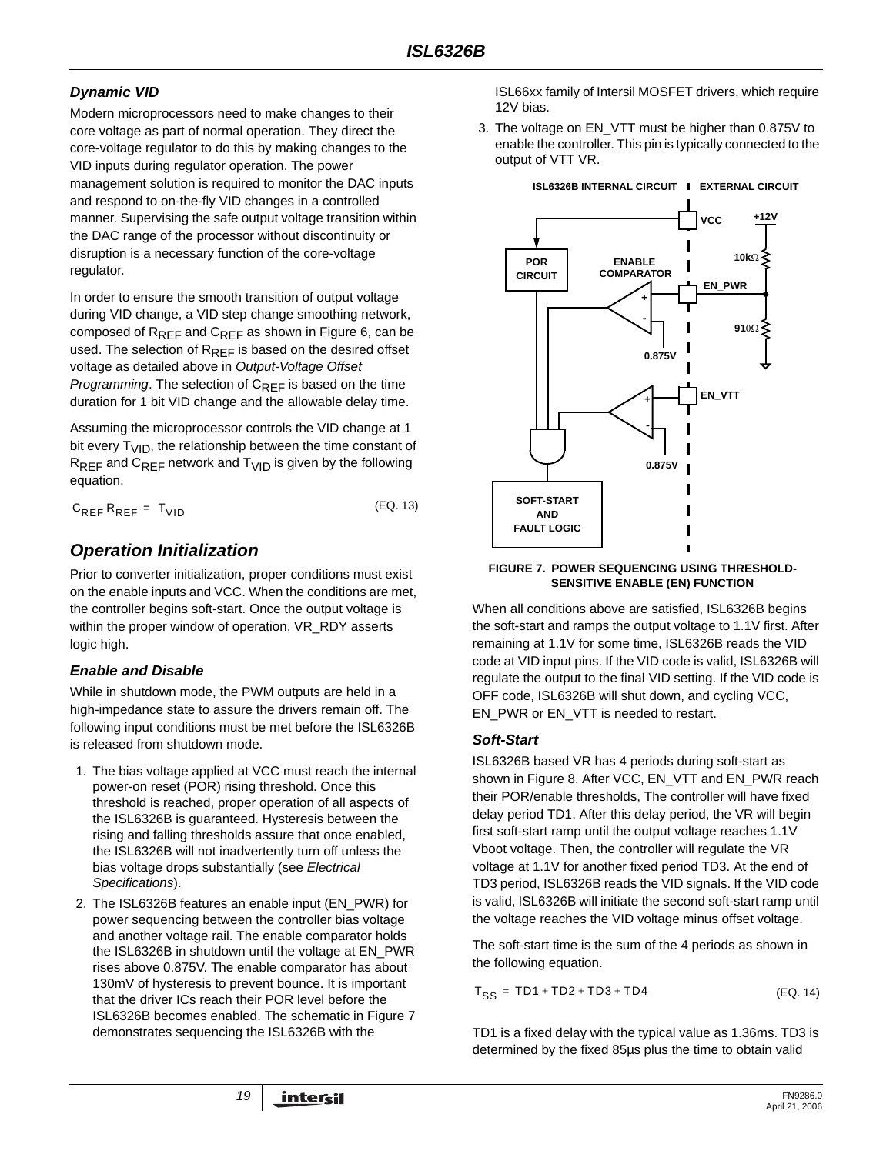# *Dynamic VID*

Modern microprocessors need to make changes to their core voltage as part of normal operation. They direct the core-voltage regulator to do this by making changes to the VID inputs during regulator operation. The power management solution is required to monitor the DAC inputs and respond to on-the-fly VID changes in a controlled manner. Supervising the safe output voltage transition within the DAC range of the processor without discontinuity or disruption is a necessary function of the core-voltage regulator.

In order to ensure the smooth transition of output voltage during VID change, a VID step change smoothing network, composed of R<sub>REF</sub> and C<sub>REF</sub> as shown in Figure 6, can be used. The selection of  $R_{RFF}$  is based on the desired offset voltage as detailed above in *Output-Voltage Offset Programming*. The selection of C<sub>RFF</sub> is based on the time duration for 1 bit VID change and the allowable delay time.

Assuming the microprocessor controls the VID change at 1 bit every  $T_{VID}$ , the relationship between the time constant of  $R_{REF}$  and  $C_{REF}$  network and  $T_{VID}$  is given by the following equation.

| $C_{REF}R_{REF} = T_{VID}$ | (EQ. 13) |
|----------------------------|----------|
|----------------------------|----------|

# *Operation Initialization*

Prior to converter initialization, proper conditions must exist on the enable inputs and VCC. When the conditions are met, the controller begins soft-start. Once the output voltage is within the proper window of operation, VR\_RDY asserts logic high.

# *Enable and Disable*

While in shutdown mode, the PWM outputs are held in a high-impedance state to assure the drivers remain off. The following input conditions must be met before the ISL6326B is released from shutdown mode.

- 1. The bias voltage applied at VCC must reach the internal power-on reset (POR) rising threshold. Once this threshold is reached, proper operation of all aspects of the ISL6326B is guaranteed. Hysteresis between the rising and falling thresholds assure that once enabled, the ISL6326B will not inadvertently turn off unless the bias voltage drops substantially (see *Electrical Specifications*).
- 2. The ISL6326B features an enable input (EN\_PWR) for power sequencing between the controller bias voltage and another voltage rail. The enable comparator holds the ISL6326B in shutdown until the voltage at EN\_PWR rises above 0.875V. The enable comparator has about 130mV of hysteresis to prevent bounce. It is important that the driver ICs reach their POR level before the ISL6326B becomes enabled. The schematic in Figure 7 demonstrates sequencing the ISL6326B with the

ISL66xx family of Intersil MOSFET drivers, which require 12V bias.

3. The voltage on EN\_VTT must be higher than 0.875V to enable the controller. This pin is typically connected to the output of VTT VR.



### **FIGURE 7. POWER SEQUENCING USING THRESHOLD-SENSITIVE ENABLE (EN) FUNCTION**

When all conditions above are satisfied, ISL6326B begins the soft-start and ramps the output voltage to 1.1V first. After remaining at 1.1V for some time, ISL6326B reads the VID code at VID input pins. If the VID code is valid, ISL6326B will regulate the output to the final VID setting. If the VID code is OFF code, ISL6326B will shut down, and cycling VCC, EN\_PWR or EN\_VTT is needed to restart.

### *Soft-Start*

ISL6326B based VR has 4 periods during soft-start as shown in Figure 8. After VCC, EN\_VTT and EN\_PWR reach their POR/enable thresholds, The controller will have fixed delay period TD1. After this delay period, the VR will begin first soft-start ramp until the output voltage reaches 1.1V Vboot voltage. Then, the controller will regulate the VR voltage at 1.1V for another fixed period TD3. At the end of TD3 period, ISL6326B reads the VID signals. If the VID code is valid, ISL6326B will initiate the second soft-start ramp until the voltage reaches the VID voltage minus offset voltage.

The soft-start time is the sum of the 4 periods as shown in the following equation.

 $T_{SS}$  = TD1 + TD2 + TD3 + TD4 (EQ. 14)

TD1 is a fixed delay with the typical value as 1.36ms. TD3 is determined by the fixed 85µs plus the time to obtain valid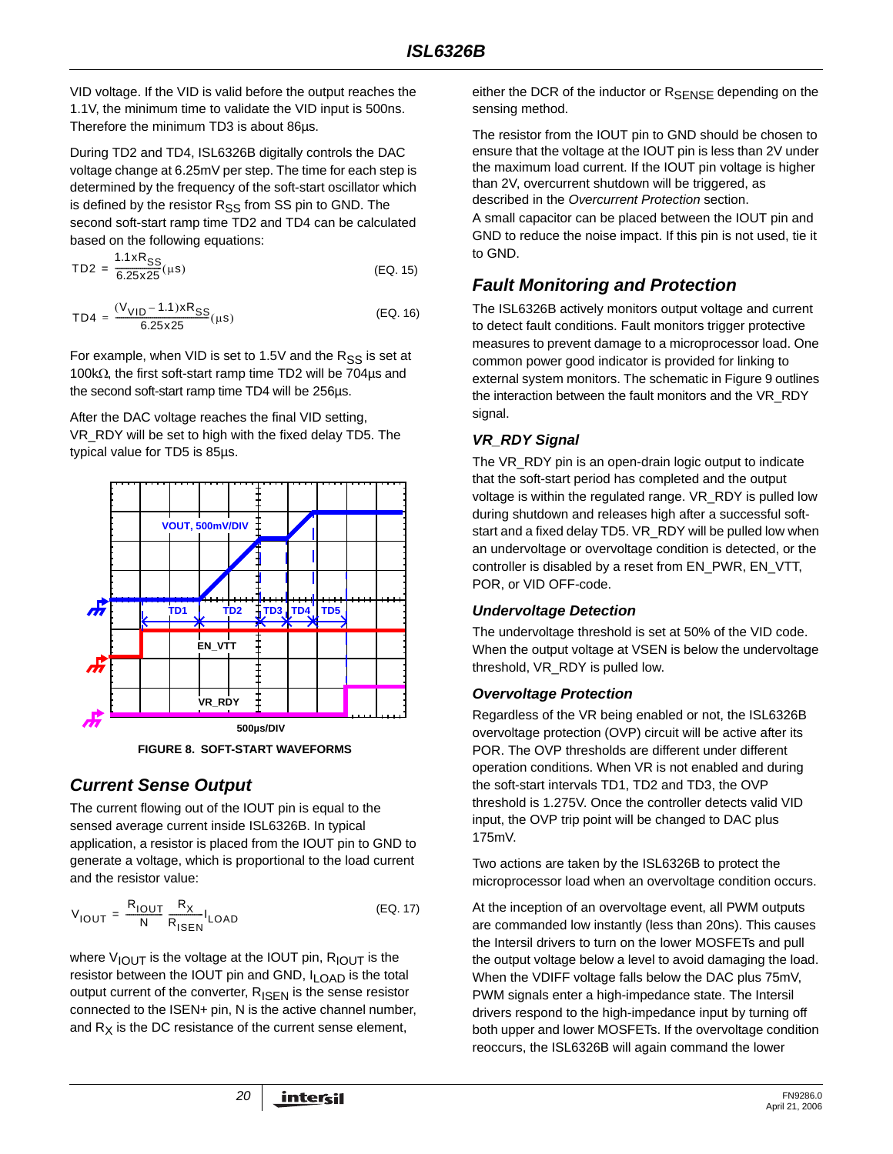VID voltage. If the VID is valid before the output reaches the 1.1V, the minimum time to validate the VID input is 500ns. Therefore the minimum TD3 is about 86µs.

During TD2 and TD4, ISL6326B digitally controls the DAC voltage change at 6.25mV per step. The time for each step is determined by the frequency of the soft-start oscillator which is defined by the resistor  $R_{SS}$  from SS pin to GND. The second soft-start ramp time TD2 and TD4 can be calculated based on the following equations:

$$
TD2 = \frac{1.1 \times R_{SS}}{6.25 \times 25} (\mu s)
$$
 (EQ. 15)

$$
TD4 = \frac{(V_{VID} - 1.1) \times R_{SS}}{6.25 \times 25} (\mu s)
$$
 (EQ. 16)

For example, when VID is set to 1.5V and the  $R_{SS}$  is set at 100kΩ, the first soft-start ramp time TD2 will be 704µs and the second soft-start ramp time TD4 will be 256µs.

After the DAC voltage reaches the final VID setting, VR\_RDY will be set to high with the fixed delay TD5. The typical value for TD5 is 85µs.



**FIGURE 8. SOFT-START WAVEFORMS**

# *Current Sense Output*

The current flowing out of the IOUT pin is equal to the sensed average current inside ISL6326B. In typical application, a resistor is placed from the IOUT pin to GND to generate a voltage, which is proportional to the load current and the resistor value:

$$
V_{\text{IOUT}} = \frac{R_{\text{IOUT}}}{N} \frac{R_X}{R_{\text{ISEN}}} I_{\text{LOAD}} \tag{Eq. 17}
$$

where  $V_{\text{IOUT}}$  is the voltage at the IOUT pin,  $R_{\text{IOUT}}$  is the resistor between the IOUT pin and GND, I<sub>LOAD</sub> is the total output current of the converter,  $R_{\text{ISEN}}$  is the sense resistor connected to the ISEN+ pin, N is the active channel number, and  $R_X$  is the DC resistance of the current sense element,

either the DCR of the inductor or  $R_{\text{SFNSF}}$  depending on the sensing method.

The resistor from the IOUT pin to GND should be chosen to ensure that the voltage at the IOUT pin is less than 2V under the maximum load current. If the IOUT pin voltage is higher than 2V, overcurrent shutdown will be triggered, as described in the *Overcurrent Protection* section.

A small capacitor can be placed between the IOUT pin and GND to reduce the noise impact. If this pin is not used, tie it to GND.

# *Fault Monitoring and Protection*

The ISL6326B actively monitors output voltage and current to detect fault conditions. Fault monitors trigger protective measures to prevent damage to a microprocessor load. One common power good indicator is provided for linking to external system monitors. The schematic in Figure 9 outlines the interaction between the fault monitors and the VR\_RDY signal.

# *VR\_RDY Signal*

The VR\_RDY pin is an open-drain logic output to indicate that the soft-start period has completed and the output voltage is within the regulated range. VR\_RDY is pulled low during shutdown and releases high after a successful softstart and a fixed delay TD5. VR\_RDY will be pulled low when an undervoltage or overvoltage condition is detected, or the controller is disabled by a reset from EN\_PWR, EN\_VTT, POR, or VID OFF-code.

# *Undervoltage Detection*

The undervoltage threshold is set at 50% of the VID code. When the output voltage at VSEN is below the undervoltage threshold, VR\_RDY is pulled low.

# *Overvoltage Protection*

Regardless of the VR being enabled or not, the ISL6326B overvoltage protection (OVP) circuit will be active after its POR. The OVP thresholds are different under different operation conditions. When VR is not enabled and during the soft-start intervals TD1, TD2 and TD3, the OVP threshold is 1.275V. Once the controller detects valid VID input, the OVP trip point will be changed to DAC plus 175mV.

Two actions are taken by the ISL6326B to protect the microprocessor load when an overvoltage condition occurs.

At the inception of an overvoltage event, all PWM outputs are commanded low instantly (less than 20ns). This causes the Intersil drivers to turn on the lower MOSFETs and pull the output voltage below a level to avoid damaging the load. When the VDIFF voltage falls below the DAC plus 75mV, PWM signals enter a high-impedance state. The Intersil drivers respond to the high-impedance input by turning off both upper and lower MOSFETs. If the overvoltage condition reoccurs, the ISL6326B will again command the lower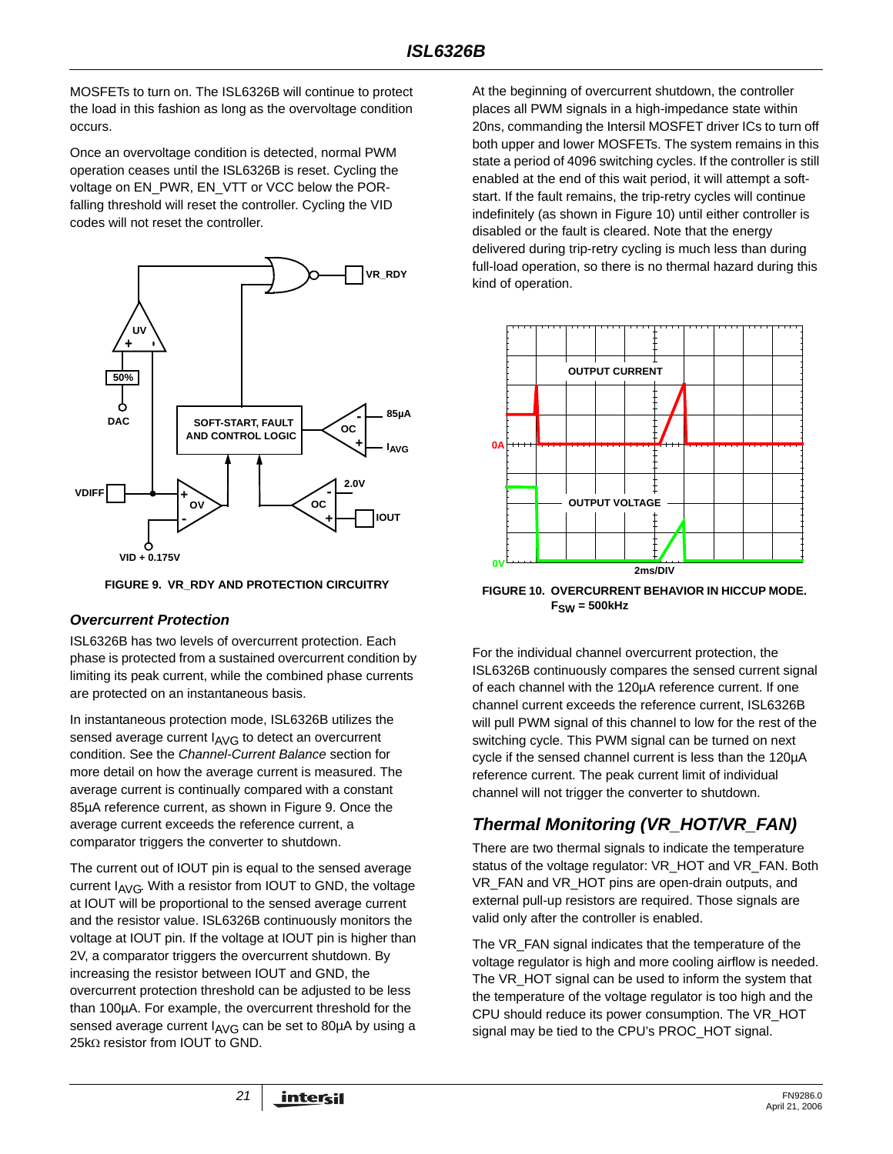MOSFETs to turn on. The ISL6326B will continue to protect the load in this fashion as long as the overvoltage condition occurs.

Once an overvoltage condition is detected, normal PWM operation ceases until the ISL6326B is reset. Cycling the voltage on EN\_PWR, EN\_VTT or VCC below the PORfalling threshold will reset the controller. Cycling the VID codes will not reset the controller.



**FIGURE 9. VR\_RDY AND PROTECTION CIRCUITRY**

# *Overcurrent Protection*

ISL6326B has two levels of overcurrent protection. Each phase is protected from a sustained overcurrent condition by limiting its peak current, while the combined phase currents are protected on an instantaneous basis.

In instantaneous protection mode, ISL6326B utilizes the sensed average current  $I_{AVG}$  to detect an overcurrent condition. See the *Channel-Current Balance* section for more detail on how the average current is measured. The average current is continually compared with a constant 85µA reference current, as shown in Figure 9. Once the average current exceeds the reference current, a comparator triggers the converter to shutdown.

The current out of IOUT pin is equal to the sensed average current  $I_{AVG}$ . With a resistor from IOUT to GND, the voltage at IOUT will be proportional to the sensed average current and the resistor value. ISL6326B continuously monitors the voltage at IOUT pin. If the voltage at IOUT pin is higher than 2V, a comparator triggers the overcurrent shutdown. By increasing the resistor between IOUT and GND, the overcurrent protection threshold can be adjusted to be less than 100µA. For example, the overcurrent threshold for the sensed average current  $I_{\text{AVG}}$  can be set to 80 $\mu$ A by using a 25kΩ resistor from IOUT to GND.

At the beginning of overcurrent shutdown, the controller places all PWM signals in a high-impedance state within 20ns, commanding the Intersil MOSFET driver ICs to turn off both upper and lower MOSFETs. The system remains in this state a period of 4096 switching cycles. If the controller is still enabled at the end of this wait period, it will attempt a softstart. If the fault remains, the trip-retry cycles will continue indefinitely (as shown in Figure 10) until either controller is disabled or the fault is cleared. Note that the energy delivered during trip-retry cycling is much less than during full-load operation, so there is no thermal hazard during this kind of operation.



**FIGURE 10. OVERCURRENT BEHAVIOR IN HICCUP MODE. FSW = 500kHz**

For the individual channel overcurrent protection, the ISL6326B continuously compares the sensed current signal of each channel with the 120µA reference current. If one channel current exceeds the reference current, ISL6326B will pull PWM signal of this channel to low for the rest of the switching cycle. This PWM signal can be turned on next cycle if the sensed channel current is less than the 120µA reference current. The peak current limit of individual channel will not trigger the converter to shutdown.

# *Thermal Monitoring (VR\_HOT/VR\_FAN)*

There are two thermal signals to indicate the temperature status of the voltage regulator: VR\_HOT and VR\_FAN. Both VR\_FAN and VR\_HOT pins are open-drain outputs, and external pull-up resistors are required. Those signals are valid only after the controller is enabled.

The VR\_FAN signal indicates that the temperature of the voltage regulator is high and more cooling airflow is needed. The VR\_HOT signal can be used to inform the system that the temperature of the voltage regulator is too high and the CPU should reduce its power consumption. The VR\_HOT signal may be tied to the CPU's PROC\_HOT signal.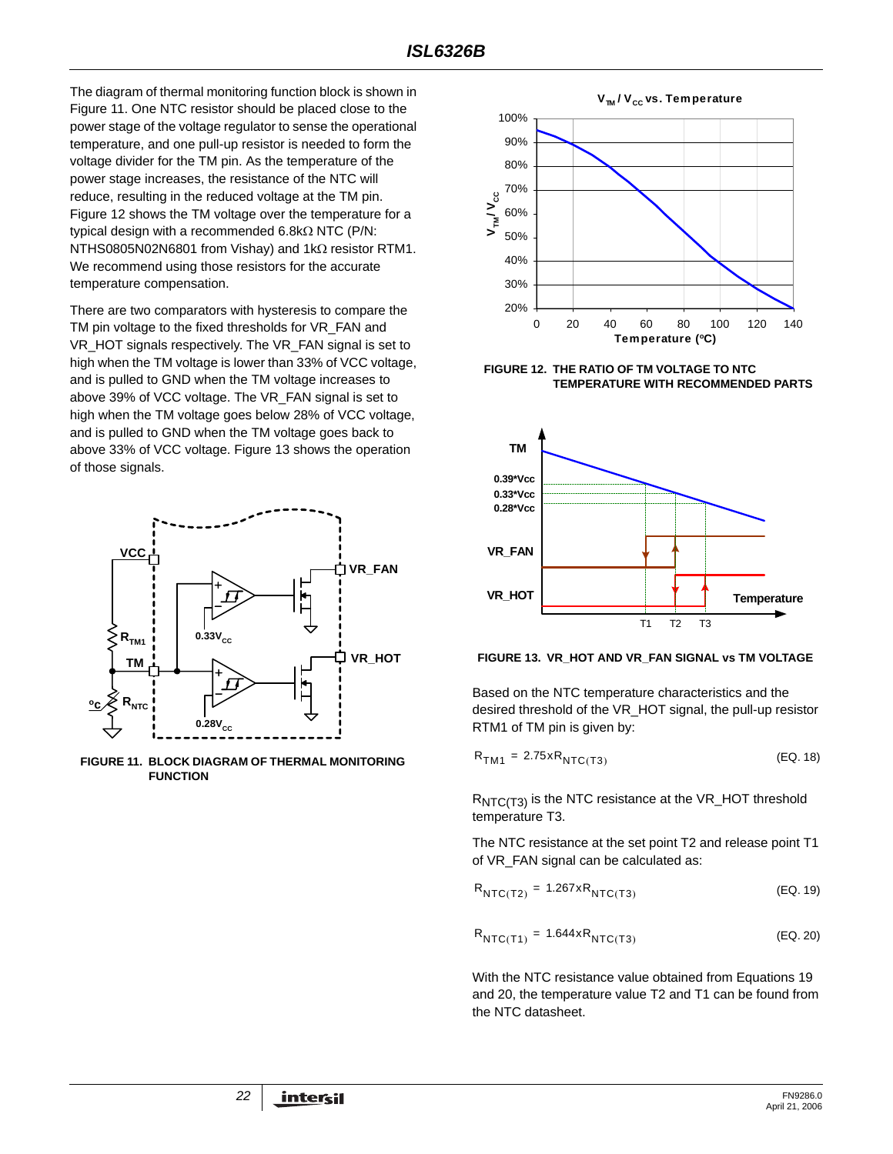The diagram of thermal monitoring function block is shown in Figure 11. One NTC resistor should be placed close to the power stage of the voltage regulator to sense the operational temperature, and one pull-up resistor is needed to form the voltage divider for the TM pin. As the temperature of the power stage increases, the resistance of the NTC will reduce, resulting in the reduced voltage at the TM pin. Figure 12 shows the TM voltage over the temperature for a typical design with a recommended 6.8kΩ NTC (P/N: NTHS0805N02N6801 from Vishay) and 1kΩ resistor RTM1. We recommend using those resistors for the accurate temperature compensation.

There are two comparators with hysteresis to compare the TM pin voltage to the fixed thresholds for VR\_FAN and VR\_HOT signals respectively. The VR\_FAN signal is set to high when the TM voltage is lower than 33% of VCC voltage, and is pulled to GND when the TM voltage increases to above 39% of VCC voltage. The VR\_FAN signal is set to high when the TM voltage goes below 28% of VCC voltage, and is pulled to GND when the TM voltage goes back to above 33% of VCC voltage. Figure 13 shows the operation of those signals.



**FIGURE 11. BLOCK DIAGRAM OF THERMAL MONITORING FUNCTION**



**FIGURE 12. THE RATIO OF TM VOLTAGE TO NTC TEMPERATURE WITH RECOMMENDED PARTS**





Based on the NTC temperature characteristics and the desired threshold of the VR\_HOT signal, the pull-up resistor RTM1 of TM pin is given by:

$$
R_{TM1} = 2.75 \times R_{NTC(T3)}
$$
 (EQ. 18)

R<sub>NTC(T3)</sub> is the NTC resistance at the VR\_HOT threshold temperature T3.

The NTC resistance at the set point T2 and release point T1 of VR\_FAN signal can be calculated as:

| $R_{NTC(T2)} = 1.267xR_{NTC(T3)}$ | (EQ. 19) |
|-----------------------------------|----------|
|                                   |          |

$$
R_{\text{NTC(T1)}} = 1.644 \times R_{\text{NTC(T3)}} \tag{Eq. 20}
$$

With the NTC resistance value obtained from Equations 19 and 20, the temperature value T2 and T1 can be found from the NTC datasheet.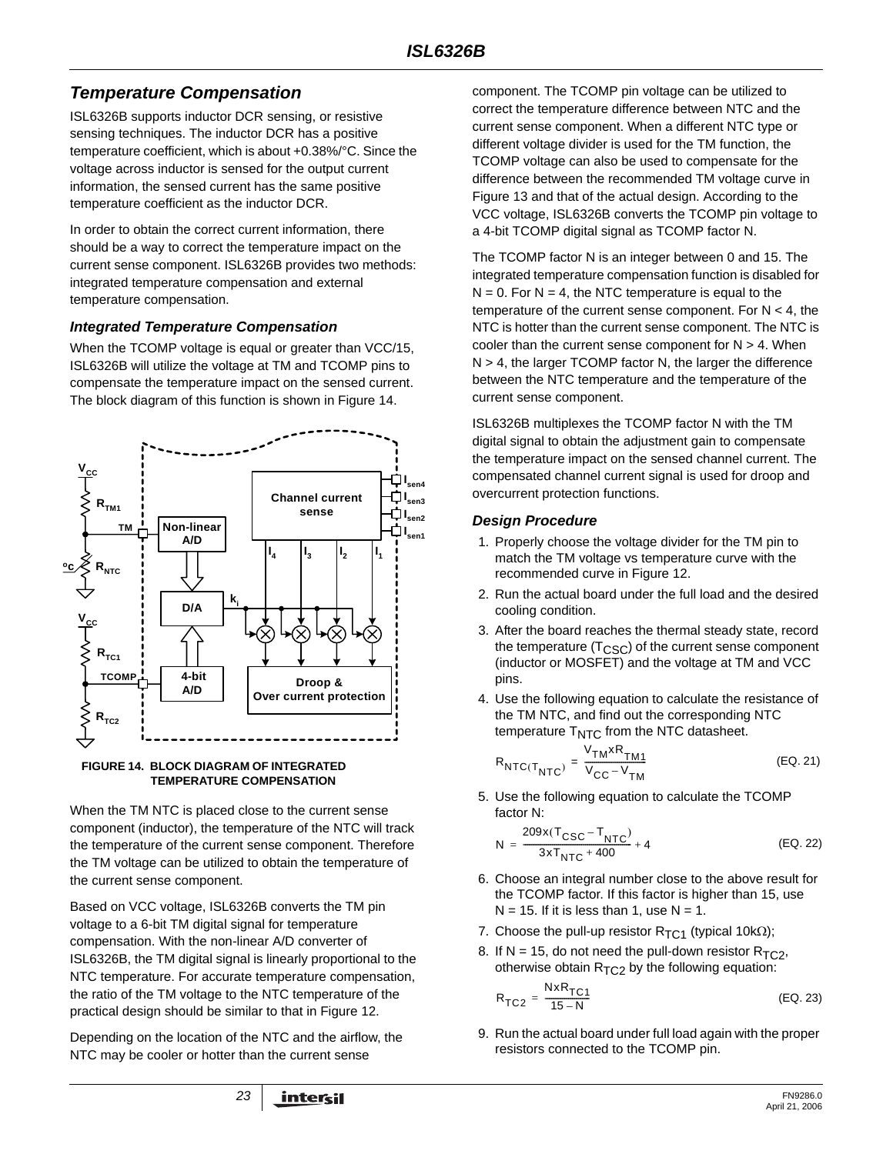# *Temperature Compensation*

ISL6326B supports inductor DCR sensing, or resistive sensing techniques. The inductor DCR has a positive temperature coefficient, which is about +0.38%/°C. Since the voltage across inductor is sensed for the output current information, the sensed current has the same positive temperature coefficient as the inductor DCR.

In order to obtain the correct current information, there should be a way to correct the temperature impact on the current sense component. ISL6326B provides two methods: integrated temperature compensation and external temperature compensation.

### *Integrated Temperature Compensation*

When the TCOMP voltage is equal or greater than VCC/15, ISL6326B will utilize the voltage at TM and TCOMP pins to compensate the temperature impact on the sensed current. The block diagram of this function is shown in Figure 14.



#### **FIGURE 14. BLOCK DIAGRAM OF INTEGRATED TEMPERATURE COMPENSATION**

When the TM NTC is placed close to the current sense component (inductor), the temperature of the NTC will track the temperature of the current sense component. Therefore the TM voltage can be utilized to obtain the temperature of the current sense component.

Based on VCC voltage, ISL6326B converts the TM pin voltage to a 6-bit TM digital signal for temperature compensation. With the non-linear A/D converter of ISL6326B, the TM digital signal is linearly proportional to the NTC temperature. For accurate temperature compensation, the ratio of the TM voltage to the NTC temperature of the practical design should be similar to that in Figure 12.

Depending on the location of the NTC and the airflow, the NTC may be cooler or hotter than the current sense

component. The TCOMP pin voltage can be utilized to correct the temperature difference between NTC and the current sense component. When a different NTC type or different voltage divider is used for the TM function, the TCOMP voltage can also be used to compensate for the difference between the recommended TM voltage curve in Figure 13 and that of the actual design. According to the VCC voltage, ISL6326B converts the TCOMP pin voltage to a 4-bit TCOMP digital signal as TCOMP factor N.

The TCOMP factor N is an integer between 0 and 15. The integrated temperature compensation function is disabled for  $N = 0$ . For  $N = 4$ , the NTC temperature is equal to the temperature of the current sense component. For  $N < 4$ , the NTC is hotter than the current sense component. The NTC is cooler than the current sense component for  $N > 4$ . When  $N > 4$ , the larger TCOMP factor N, the larger the difference between the NTC temperature and the temperature of the current sense component.

ISL6326B multiplexes the TCOMP factor N with the TM digital signal to obtain the adjustment gain to compensate the temperature impact on the sensed channel current. The compensated channel current signal is used for droop and overcurrent protection functions.

## *Design Procedure*

- 1. Properly choose the voltage divider for the TM pin to match the TM voltage vs temperature curve with the recommended curve in Figure 12.
- 2. Run the actual board under the full load and the desired cooling condition.
- 3. After the board reaches the thermal steady state, record the temperature  $(T<sub>CSC</sub>)$  of the current sense component (inductor or MOSFET) and the voltage at TM and VCC pins.
- 4. Use the following equation to calculate the resistance of the TM NTC, and find out the corresponding NTC temperature  $T<sub>NTC</sub>$  from the NTC datasheet.

$$
R_{\text{NTC}(T_{\text{NTC}})} = \frac{V_{\text{TM}} \times R_{\text{TM1}}}{V_{\text{CC}} - V_{\text{TM}}}
$$
 (EQ. 21)

5. Use the following equation to calculate the TCOMP factor N:

$$
N = \frac{209 \times (T_{CSC} - T_{NTC})}{3 \times T_{NTC} + 400} + 4
$$
 (EQ. 22)

- 6. Choose an integral number close to the above result for the TCOMP factor. If this factor is higher than 15, use  $N = 15$ . If it is less than 1, use  $N = 1$ .
- 7. Choose the pull-up resistor  $R_{TC1}$  (typical 10kΩ);
- 8. If N = 15, do not need the pull-down resistor  $R_{TC2}$ , otherwise obtain  $R_{TC2}$  by the following equation:

$$
R_{TC2} = \frac{NxR_{TC1}}{15 - N}
$$
 (EQ. 23)

9. Run the actual board under full load again with the proper resistors connected to the TCOMP pin.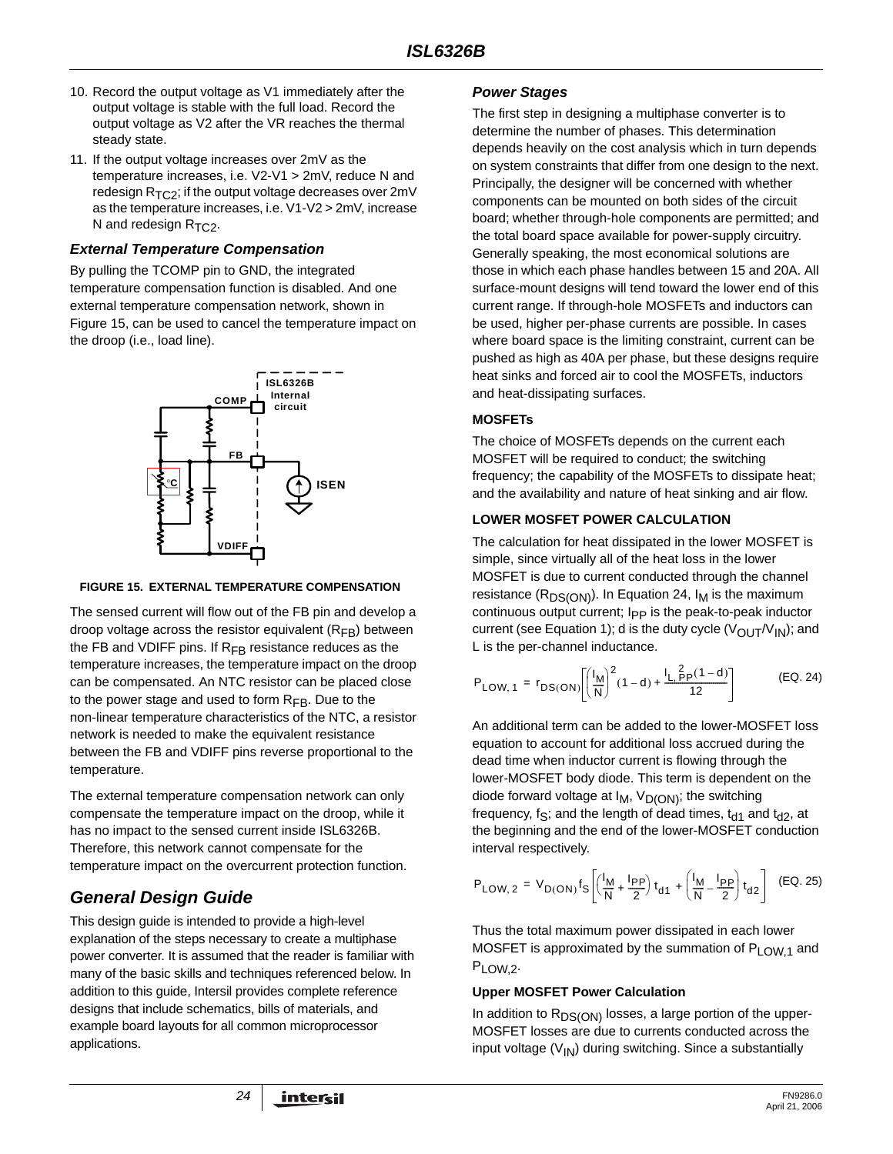- 10. Record the output voltage as V1 immediately after the output voltage is stable with the full load. Record the output voltage as V2 after the VR reaches the thermal steady state.
- 11. If the output voltage increases over 2mV as the temperature increases, i.e. V2-V1 > 2mV, reduce N and redesign  $R_{TC2}$ ; if the output voltage decreases over 2mV as the temperature increases, i.e. V1-V2 > 2mV, increase N and redesign  $R_{TC2}$ .

### *External Temperature Compensation*

By pulling the TCOMP pin to GND, the integrated temperature compensation function is disabled. And one external temperature compensation network, shown in Figure 15, can be used to cancel the temperature impact on the droop (i.e., load line).



### **FIGURE 15. EXTERNAL TEMPERATURE COMPENSATION**

The sensed current will flow out of the FB pin and develop a droop voltage across the resistor equivalent  $(R_{FR})$  between the FB and VDIFF pins. If  $R_{FB}$  resistance reduces as the temperature increases, the temperature impact on the droop can be compensated. An NTC resistor can be placed close to the power stage and used to form  $R_{FB}$ . Due to the non-linear temperature characteristics of the NTC, a resistor network is needed to make the equivalent resistance between the FB and VDIFF pins reverse proportional to the temperature.

The external temperature compensation network can only compensate the temperature impact on the droop, while it has no impact to the sensed current inside ISL6326B. Therefore, this network cannot compensate for the temperature impact on the overcurrent protection function.

# *General Design Guide*

This design guide is intended to provide a high-level explanation of the steps necessary to create a multiphase power converter. It is assumed that the reader is familiar with many of the basic skills and techniques referenced below. In addition to this guide, Intersil provides complete reference designs that include schematics, bills of materials, and example board layouts for all common microprocessor applications.

### *Power Stages*

The first step in designing a multiphase converter is to determine the number of phases. This determination depends heavily on the cost analysis which in turn depends on system constraints that differ from one design to the next. Principally, the designer will be concerned with whether components can be mounted on both sides of the circuit board; whether through-hole components are permitted; and the total board space available for power-supply circuitry. Generally speaking, the most economical solutions are those in which each phase handles between 15 and 20A. All surface-mount designs will tend toward the lower end of this current range. If through-hole MOSFETs and inductors can be used, higher per-phase currents are possible. In cases where board space is the limiting constraint, current can be pushed as high as 40A per phase, but these designs require heat sinks and forced air to cool the MOSFETs, inductors and heat-dissipating surfaces.

### **MOSFETs**

The choice of MOSFETs depends on the current each MOSFET will be required to conduct; the switching frequency; the capability of the MOSFETs to dissipate heat; and the availability and nature of heat sinking and air flow.

### **LOWER MOSFET POWER CALCULATION**

The calculation for heat dissipated in the lower MOSFET is simple, since virtually all of the heat loss in the lower MOSFET is due to current conducted through the channel resistance ( $R_{DS(ON)}$ ). In Equation 24,  $I_M$  is the maximum continuous output current; I<sub>PP</sub> is the peak-to-peak inductor current (see Equation 1); d is the duty cycle  $(V_{\text{OUT}}/V_{\text{IN}})$ ; and L is the per-channel inductance.

$$
P_{LOW, 1} = r_{DS(ON)} \left[ \left( \frac{I_M}{N} \right)^2 (1 - d) + \frac{I_L \frac{2}{r} p (1 - d)}{12} \right]
$$
 (EQ. 24)

An additional term can be added to the lower-MOSFET loss equation to account for additional loss accrued during the dead time when inductor current is flowing through the lower-MOSFET body diode. This term is dependent on the diode forward voltage at  $I_M$ ,  $V_{D(ON)}$ ; the switching frequency, fs; and the length of dead times,  $t_{d1}$  and  $t_{d2}$ , at the beginning and the end of the lower-MOSFET conduction interval respectively.

$$
P_{LOW, 2} = V_{D(ON)} f_S \left[ \left( \frac{l_M}{N} + \frac{l_{PP}}{2} \right) t_{d1} + \left( \frac{l_M}{N} - \frac{l_{PP}}{2} \right) t_{d2} \right] (EQ. 25)
$$

Thus the total maximum power dissipated in each lower MOSFET is approximated by the summation of  $P_{LOW,1}$  and P<sub>LOW.2</sub>.

### **Upper MOSFET Power Calculation**

In addition to  $R_{DS(ON)}$  losses, a large portion of the upper-MOSFET losses are due to currents conducted across the input voltage  $(V_{1N})$  during switching. Since a substantially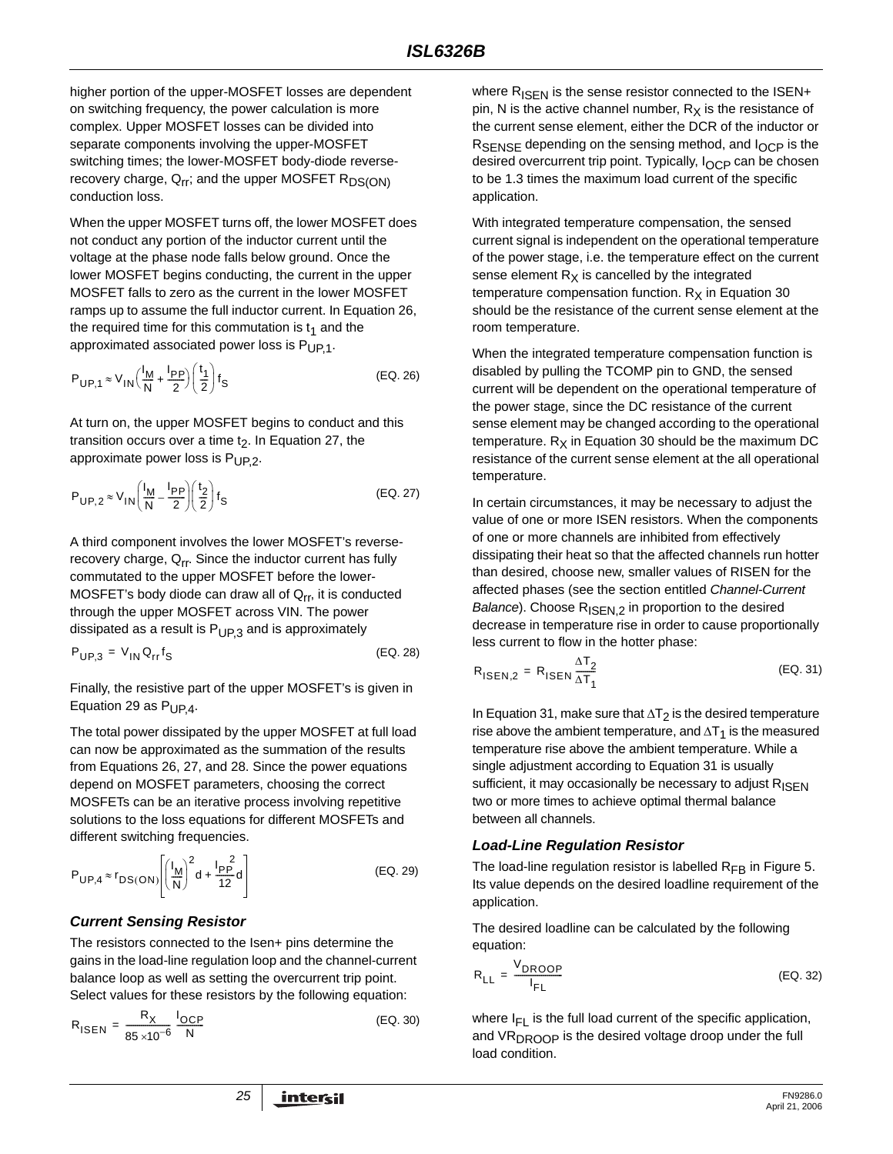higher portion of the upper-MOSFET losses are dependent on switching frequency, the power calculation is more complex. Upper MOSFET losses can be divided into separate components involving the upper-MOSFET switching times; the lower-MOSFET body-diode reverserecovery charge,  $Q_{rr}$ ; and the upper MOSFET  $R_{DS(ON)}$ conduction loss.

When the upper MOSFET turns off, the lower MOSFET does not conduct any portion of the inductor current until the voltage at the phase node falls below ground. Once the lower MOSFET begins conducting, the current in the upper MOSFET falls to zero as the current in the lower MOSFET ramps up to assume the full inductor current. In Equation 26, the required time for this commutation is  $t_1$  and the approximated associated power loss is  $P_{UP,1}$ .

$$
P_{\text{UP},1} \approx V_{\text{IN}} \left( \frac{I_{\text{M}}}{\text{N}} + \frac{I_{\text{PP}}}{2} \right) \left( \frac{t_1}{2} \right) f_{\text{S}}
$$
 (EQ. 26)

At turn on, the upper MOSFET begins to conduct and this transition occurs over a time  $t<sub>2</sub>$ . In Equation 27, the approximate power loss is  $P_{UP,2}$ .

$$
P_{\text{UP},2} \approx V_{\text{IN}} \left( \frac{I_{\text{M}}}{\text{N}} - \frac{I_{\text{PP}}}{2} \right) \left( \frac{t_2}{2} \right) f_{\text{S}}
$$
 (EQ. 27)

A third component involves the lower MOSFET's reverserecovery charge,  $Q_{rr}$ . Since the inductor current has fully commutated to the upper MOSFET before the lower-MOSFET's body diode can draw all of  $Q_{rr}$ , it is conducted through the upper MOSFET across VIN. The power dissipated as a result is  $P_{UP,3}$  and is approximately

$$
P_{UP,3} = V_{IN} Q_{rr} f_S
$$
 (EQ. 28)

Finally, the resistive part of the upper MOSFET's is given in Equation 29 as  $P_{UP4}$ .

The total power dissipated by the upper MOSFET at full load can now be approximated as the summation of the results from Equations 26, 27, and 28. Since the power equations depend on MOSFET parameters, choosing the correct MOSFETs can be an iterative process involving repetitive solutions to the loss equations for different MOSFETs and different switching frequencies.

$$
P_{\text{UP},4} \approx r_{\text{DS}(\text{ON})} \left[ \left( \frac{I_{\text{M}}}{N} \right)^2 d + \frac{I_{\text{PP}}^2}{12} d \right]
$$
 (EQ. 29)

# *Current Sensing Resistor*

The resistors connected to the Isen+ pins determine the gains in the load-line regulation loop and the channel-current balance loop as well as setting the overcurrent trip point. Select values for these resistors by the following equation:

$$
R_{\text{ISEN}} = \frac{R_X}{85 \times 10^{-6}} \frac{I_{\text{OCP}}}{N}
$$
 (EQ. 30)

where  $R_{\text{ISFN}}$  is the sense resistor connected to the ISEN+ pin, N is the active channel number,  $R_X$  is the resistance of the current sense element, either the DCR of the inductor or RSENSE depending on the sensing method, and I<sub>OCP</sub> is the desired overcurrent trip point. Typically, I<sub>OCP</sub> can be chosen to be 1.3 times the maximum load current of the specific application.

With integrated temperature compensation, the sensed current signal is independent on the operational temperature of the power stage, i.e. the temperature effect on the current sense element  $R_X$  is cancelled by the integrated temperature compensation function.  $R_X$  in Equation 30 should be the resistance of the current sense element at the room temperature.

When the integrated temperature compensation function is disabled by pulling the TCOMP pin to GND, the sensed current will be dependent on the operational temperature of the power stage, since the DC resistance of the current sense element may be changed according to the operational temperature.  $R_X$  in Equation 30 should be the maximum DC resistance of the current sense element at the all operational temperature.

In certain circumstances, it may be necessary to adjust the value of one or more ISEN resistors. When the components of one or more channels are inhibited from effectively dissipating their heat so that the affected channels run hotter than desired, choose new, smaller values of RISEN for the affected phases (see the section entitled *Channel-Current Balance*). Choose R<sub>ISEN,2</sub> in proportion to the desired decrease in temperature rise in order to cause proportionally less current to flow in the hotter phase:

$$
R_{\text{ISEN},2} = R_{\text{ISEN}} \frac{\Delta T_2}{\Delta T_1}
$$
 (EQ. 31)

In Equation 31, make sure that  $\Delta T_2$  is the desired temperature rise above the ambient temperature, and  $\Delta T_1$  is the measured temperature rise above the ambient temperature. While a single adjustment according to Equation 31 is usually sufficient, it may occasionally be necessary to adjust  $R_{\text{ISFN}}$ two or more times to achieve optimal thermal balance between all channels.

### *Load-Line Regulation Resistor*

The load-line regulation resistor is labelled  $R_{FB}$  in Figure 5. Its value depends on the desired loadline requirement of the application.

The desired loadline can be calculated by the following equation:

$$
R_{LL} = \frac{V_{DROOP}}{I_{FL}}
$$
 (EQ. 32)

where  $I_{FI}$  is the full load current of the specific application, and  $VR<sub>DROOP</sub>$  is the desired voltage droop under the full load condition.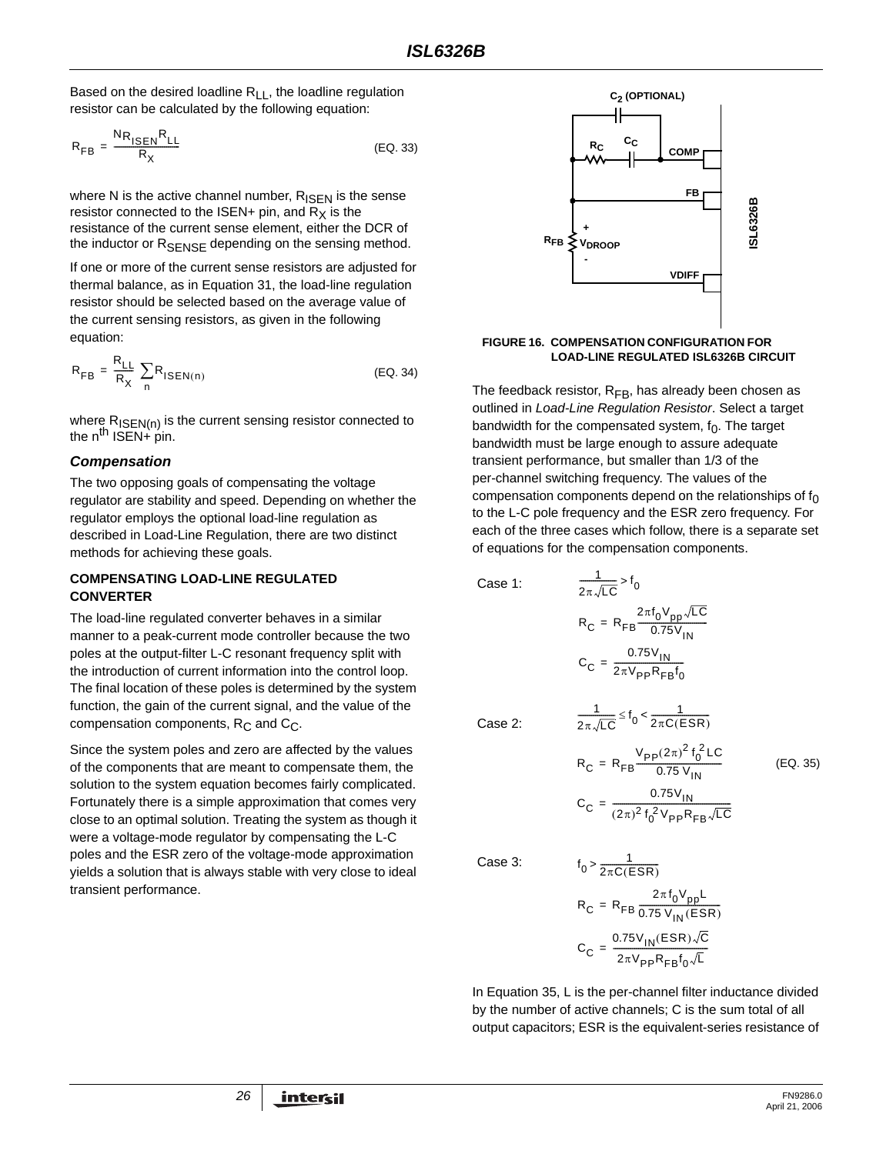Based on the desired loadline  $R_{LL}$ , the loadline regulation resistor can be calculated by the following equation:

$$
R_{FB} = \frac{N R_{ISEN} R_{LL}}{R_X}
$$
 (EQ. 33)

where N is the active channel number,  $R_{\text{ISEN}}$  is the sense resistor connected to the ISEN+ pin, and  $R_X$  is the resistance of the current sense element, either the DCR of the inductor or RSENSE depending on the sensing method.

If one or more of the current sense resistors are adjusted for thermal balance, as in Equation 31, the load-line regulation resistor should be selected based on the average value of the current sensing resistors, as given in the following equation:

$$
R_{FB} = \frac{R_{LL}}{R_X} \sum_{n} R_{ISBN(n)}
$$
 (EQ. 34)

where  $R_{\text{ISEN(n)}}$  is the current sensing resistor connected to the  $n^{th}$  ISEN+ pin.

### *Compensation*

The two opposing goals of compensating the voltage regulator are stability and speed. Depending on whether the regulator employs the optional load-line regulation as described in Load-Line Regulation, there are two distinct methods for achieving these goals.

### **COMPENSATING LOAD-LINE REGULATED CONVERTER**

The load-line regulated converter behaves in a similar manner to a peak-current mode controller because the two poles at the output-filter L-C resonant frequency split with the introduction of current information into the control loop. The final location of these poles is determined by the system function, the gain of the current signal, and the value of the compensation components,  $R_C$  and  $C_C$ .

Since the system poles and zero are affected by the values of the components that are meant to compensate them, the solution to the system equation becomes fairly complicated. Fortunately there is a simple approximation that comes very close to an optimal solution. Treating the system as though it were a voltage-mode regulator by compensating the L-C poles and the ESR zero of the voltage-mode approximation yields a solution that is always stable with very close to ideal transient performance.



# **FIGURE 16. COMPENSATION CONFIGURATION FOR**

The feedback resistor,  $R_{FB}$ , has already been chosen as outlined in *Load-Line Regulation Resistor*. Select a target bandwidth for the compensated system,  $f_0$ . The target bandwidth must be large enough to assure adequate transient performance, but smaller than 1/3 of the per-channel switching frequency. The values of the compensation components depend on the relationships of  $f_0$ to the L-C pole frequency and the ESR zero frequency. For each of the three cases which follow, there is a separate set of equations for the compensation components.

Case 1:

$$
R_C = R_{FB} \frac{2\pi f_0 V_{pp} \sqrt{LC}}{0.75 V_{IN}}
$$

$$
C_C = \frac{0.75 V_{IN}}{2\pi V_{pp} R_{FB} f_0}
$$

1  $\frac{1}{2\pi\sqrt{LC}}$  > f<sub>0</sub>

Case 2:

$$
\frac{1}{2\pi\sqrt{LC}} \le f_0 < \frac{1}{2\pi C(ESR)}
$$
  
\n
$$
R_C = R_{FB} \frac{V_{PP}(2\pi)^2 f_0^2 LC}{0.75 V_{IN}}
$$
 (EQ. 35)  
\n
$$
C_C = \frac{0.75 V_{IN}}{(2\pi)^2 f_0^2 V_{PP} R_{FB} \sqrt{LC}}
$$

Case 3:

$$
t_0 > \frac{1}{2\pi C(ESR)}
$$
  
\n
$$
R_C = R_{FB} \frac{2\pi f_0 V_{pp}L}{0.75 V_{IN}(ESR)}
$$
  
\n
$$
C_C = \frac{0.75 V_{IN}(ESR)\sqrt{C}}{2\pi V_{pp}R_{FB}f_0\sqrt{L}}
$$

In Equation 35, L is the per-channel filter inductance divided by the number of active channels; C is the sum total of all output capacitors; ESR is the equivalent-series resistance of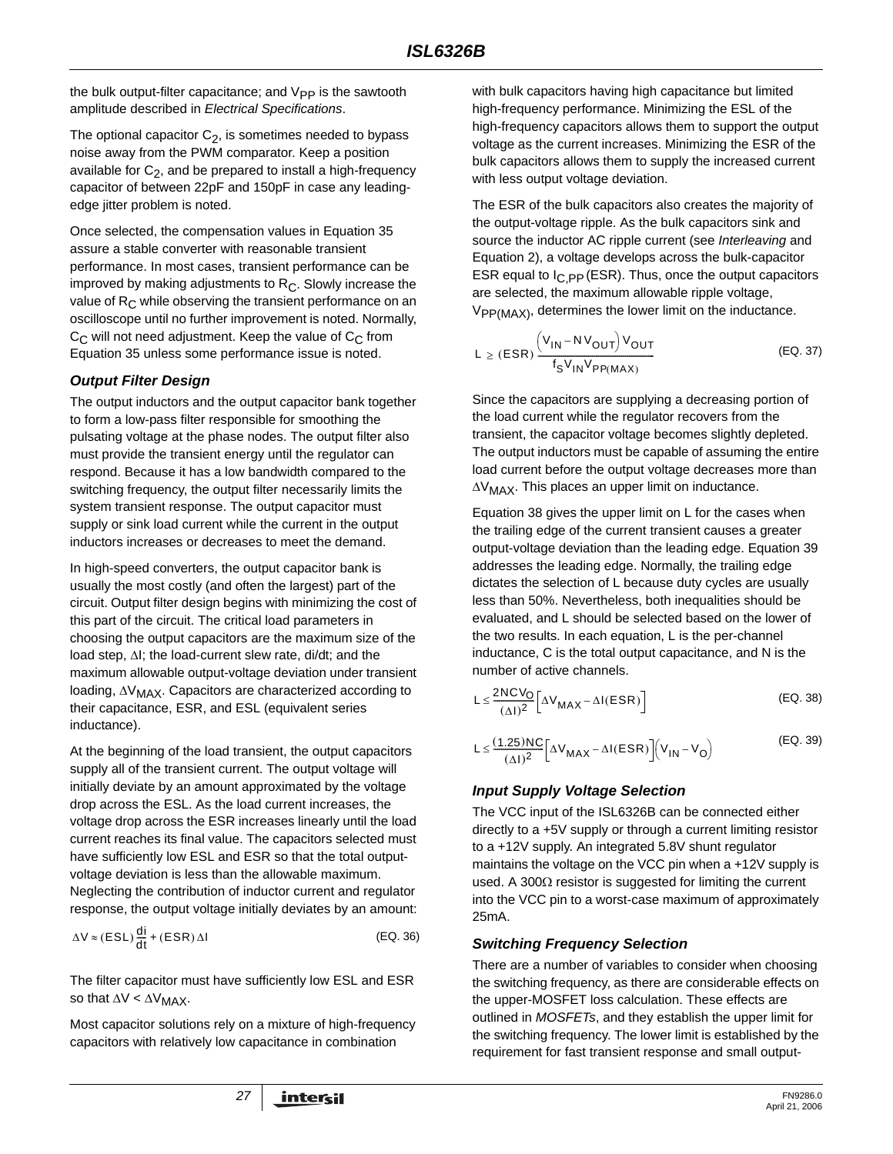the bulk output-filter capacitance; and  $V_{PP}$  is the sawtooth amplitude described in *Electrical Specifications*.

The optional capacitor  $C_2$ , is sometimes needed to bypass noise away from the PWM comparator. Keep a position available for  $C_2$ , and be prepared to install a high-frequency capacitor of between 22pF and 150pF in case any leadingedge jitter problem is noted.

Once selected, the compensation values in Equation 35 assure a stable converter with reasonable transient performance. In most cases, transient performance can be improved by making adjustments to  $R<sub>C</sub>$ . Slowly increase the value of  $R_C$  while observing the transient performance on an oscilloscope until no further improvement is noted. Normally,  $C_{\text{C}}$  will not need adjustment. Keep the value of  $C_{\text{C}}$  from Equation 35 unless some performance issue is noted.

## *Output Filter Design*

The output inductors and the output capacitor bank together to form a low-pass filter responsible for smoothing the pulsating voltage at the phase nodes. The output filter also must provide the transient energy until the regulator can respond. Because it has a low bandwidth compared to the switching frequency, the output filter necessarily limits the system transient response. The output capacitor must supply or sink load current while the current in the output inductors increases or decreases to meet the demand.

In high-speed converters, the output capacitor bank is usually the most costly (and often the largest) part of the circuit. Output filter design begins with minimizing the cost of this part of the circuit. The critical load parameters in choosing the output capacitors are the maximum size of the load step, ΔI; the load-current slew rate, di/dt; and the maximum allowable output-voltage deviation under transient loading, ΔV<sub>MAX</sub>. Capacitors are characterized according to their capacitance, ESR, and ESL (equivalent series inductance).

At the beginning of the load transient, the output capacitors supply all of the transient current. The output voltage will initially deviate by an amount approximated by the voltage drop across the ESL. As the load current increases, the voltage drop across the ESR increases linearly until the load current reaches its final value. The capacitors selected must have sufficiently low ESL and ESR so that the total outputvoltage deviation is less than the allowable maximum. Neglecting the contribution of inductor current and regulator response, the output voltage initially deviates by an amount:

$$
\Delta V \approx (ESL) \frac{di}{dt} + (ESR) \Delta I
$$
 (EQ. 36)

The filter capacitor must have sufficiently low ESL and ESR so that  $\Delta V < \Delta V_{MAX}$ .

Most capacitor solutions rely on a mixture of high-frequency capacitors with relatively low capacitance in combination

with bulk capacitors having high capacitance but limited high-frequency performance. Minimizing the ESL of the high-frequency capacitors allows them to support the output voltage as the current increases. Minimizing the ESR of the bulk capacitors allows them to supply the increased current with less output voltage deviation.

The ESR of the bulk capacitors also creates the majority of the output-voltage ripple. As the bulk capacitors sink and source the inductor AC ripple current (see *Interleaving* and Equation 2), a voltage develops across the bulk-capacitor ESR equal to  $I_{C,PP}$  (ESR). Thus, once the output capacitors are selected, the maximum allowable ripple voltage,  $V_{PP(MAX)}$ , determines the lower limit on the inductance.

$$
L \ge (ESR) \frac{\left(V_{IN} - NV_{OUT}\right)V_{OUT}}{f_S V_{IN} V_{PP(MAX)}}
$$
 (EQ. 37)

Since the capacitors are supplying a decreasing portion of the load current while the regulator recovers from the transient, the capacitor voltage becomes slightly depleted. The output inductors must be capable of assuming the entire load current before the output voltage decreases more than  $\Delta V_{MAX}$ . This places an upper limit on inductance.

Equation 38 gives the upper limit on L for the cases when the trailing edge of the current transient causes a greater output-voltage deviation than the leading edge. Equation 39 addresses the leading edge. Normally, the trailing edge dictates the selection of L because duty cycles are usually less than 50%. Nevertheless, both inequalities should be evaluated, and L should be selected based on the lower of the two results. In each equation, L is the per-channel inductance, C is the total output capacitance, and N is the number of active channels.

$$
L \leq \frac{2NCV_O}{(\Delta I)^2} \left[ \Delta V_{MAX} - \Delta I(ESR) \right]
$$
 (EQ. 38)

$$
L \leq \frac{(1.25)NC}{(\Delta I)^2} \Big[ \Delta V_{MAX} - \Delta I(ESR) \Big] \Big( V_{IN} - V_O \Big)
$$
 (EQ. 39)

# *Input Supply Voltage Selection*

The VCC input of the ISL6326B can be connected either directly to a +5V supply or through a current limiting resistor to a +12V supply. An integrated 5.8V shunt regulator maintains the voltage on the VCC pin when a +12V supply is used. A 300Ω resistor is suggested for limiting the current into the VCC pin to a worst-case maximum of approximately 25mA.

### *Switching Frequency Selection*

There are a number of variables to consider when choosing the switching frequency, as there are considerable effects on the upper-MOSFET loss calculation. These effects are outlined in *MOSFETs*, and they establish the upper limit for the switching frequency. The lower limit is established by the requirement for fast transient response and small output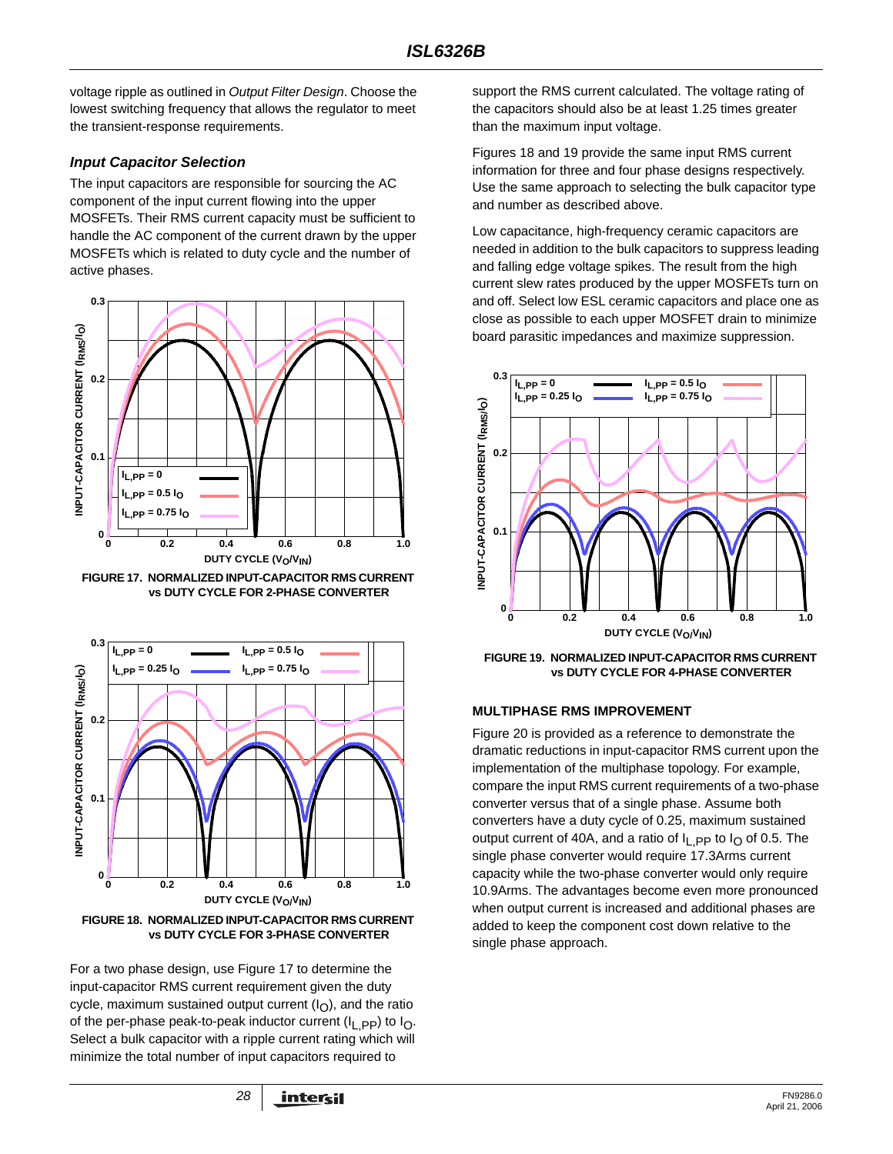voltage ripple as outlined in *Output Filter Design*. Choose the lowest switching frequency that allows the regulator to meet the transient-response requirements.

### *Input Capacitor Selection*

The input capacitors are responsible for sourcing the AC component of the input current flowing into the upper MOSFETs. Their RMS current capacity must be sufficient to handle the AC component of the current drawn by the upper MOSFETs which is related to duty cycle and the number of active phases.



**FIGURE 17. NORMALIZED INPUT-CAPACITOR RMS CURRENT vs DUTY CYCLE FOR 2-PHASE CONVERTER**



**vs DUTY CYCLE FOR 3-PHASE CONVERTER**

For a two phase design, use Figure 17 to determine the input-capacitor RMS current requirement given the duty cycle, maximum sustained output current  $(I<sub>O</sub>)$ , and the ratio of the per-phase peak-to-peak inductor current ( $I_{\text{L}}$ , pp) to  $I_{\text{O}}$ . Select a bulk capacitor with a ripple current rating which will minimize the total number of input capacitors required to

support the RMS current calculated. The voltage rating of the capacitors should also be at least 1.25 times greater than the maximum input voltage.

Figures 18 and 19 provide the same input RMS current information for three and four phase designs respectively. Use the same approach to selecting the bulk capacitor type and number as described above.

Low capacitance, high-frequency ceramic capacitors are needed in addition to the bulk capacitors to suppress leading and falling edge voltage spikes. The result from the high current slew rates produced by the upper MOSFETs turn on and off. Select low ESL ceramic capacitors and place one as close as possible to each upper MOSFET drain to minimize board parasitic impedances and maximize suppression.



**FIGURE 19. NORMALIZED INPUT-CAPACITOR RMS CURRENT vs DUTY CYCLE FOR 4-PHASE CONVERTER**

### **MULTIPHASE RMS IMPROVEMENT**

Figure 20 is provided as a reference to demonstrate the dramatic reductions in input-capacitor RMS current upon the implementation of the multiphase topology. For example, compare the input RMS current requirements of a two-phase converter versus that of a single phase. Assume both converters have a duty cycle of 0.25, maximum sustained output current of 40A, and a ratio of  $I<sub>L</sub>$  pp to  $I<sub>O</sub>$  of 0.5. The single phase converter would require 17.3Arms current capacity while the two-phase converter would only require 10.9Arms. The advantages become even more pronounced when output current is increased and additional phases are added to keep the component cost down relative to the single phase approach.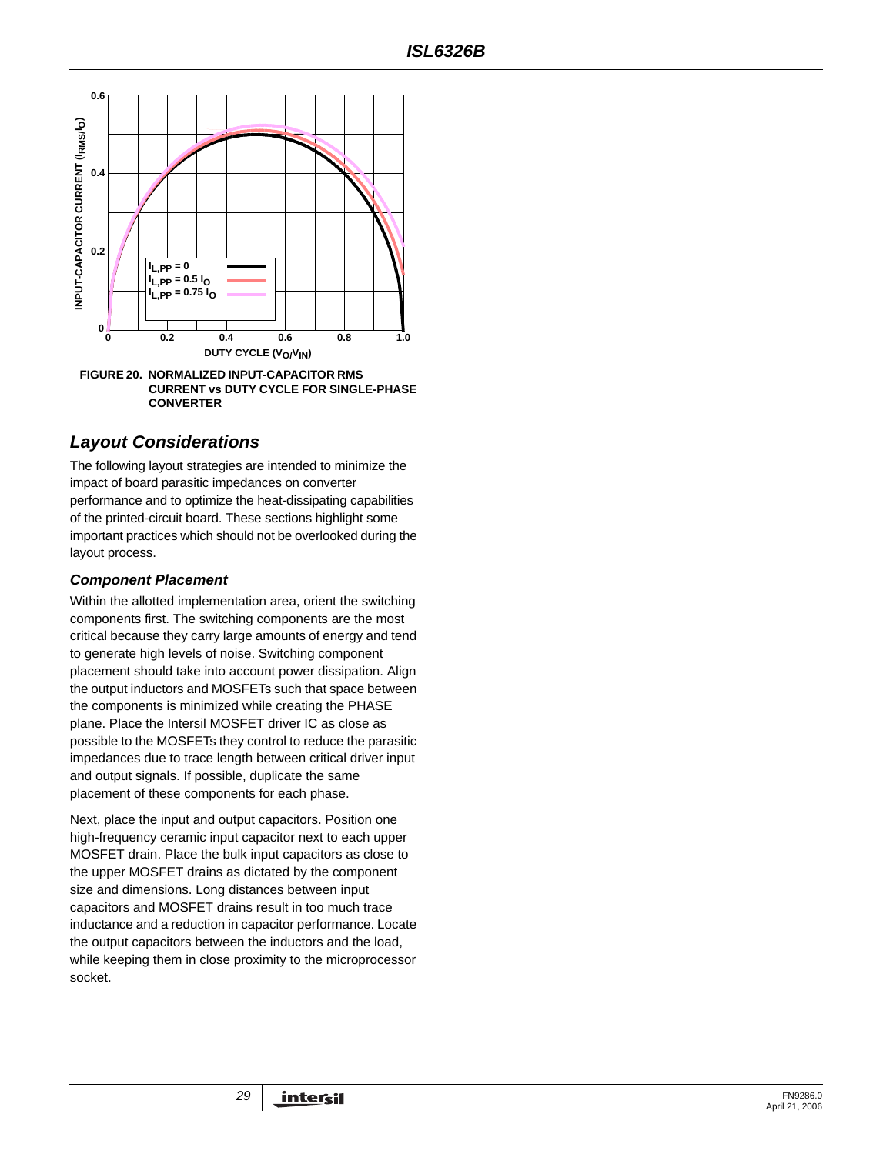

# *Layout Considerations*

The following layout strategies are intended to minimize the impact of board parasitic impedances on converter performance and to optimize the heat-dissipating capabilities of the printed-circuit board. These sections highlight some important practices which should not be overlooked during the layout process.

### *Component Placement*

Within the allotted implementation area, orient the switching components first. The switching components are the most critical because they carry large amounts of energy and tend to generate high levels of noise. Switching component placement should take into account power dissipation. Align the output inductors and MOSFETs such that space between the components is minimized while creating the PHASE plane. Place the Intersil MOSFET driver IC as close as possible to the MOSFETs they control to reduce the parasitic impedances due to trace length between critical driver input and output signals. If possible, duplicate the same placement of these components for each phase.

Next, place the input and output capacitors. Position one high-frequency ceramic input capacitor next to each upper MOSFET drain. Place the bulk input capacitors as close to the upper MOSFET drains as dictated by the component size and dimensions. Long distances between input capacitors and MOSFET drains result in too much trace inductance and a reduction in capacitor performance. Locate the output capacitors between the inductors and the load, while keeping them in close proximity to the microprocessor socket.